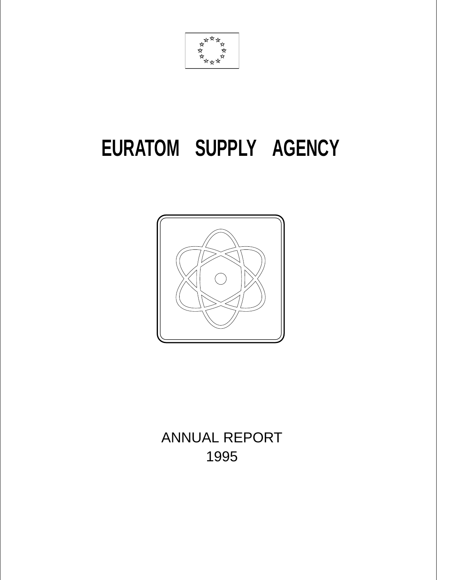

# **EURATOM SUPPLY AGENCY**



ANNUAL REPORT 1995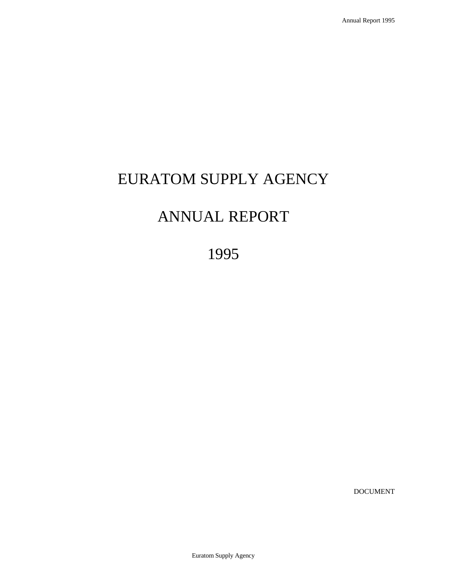## EURATOM SUPPLY AGENCY

## ANNUAL REPORT

1995

DOCUMENT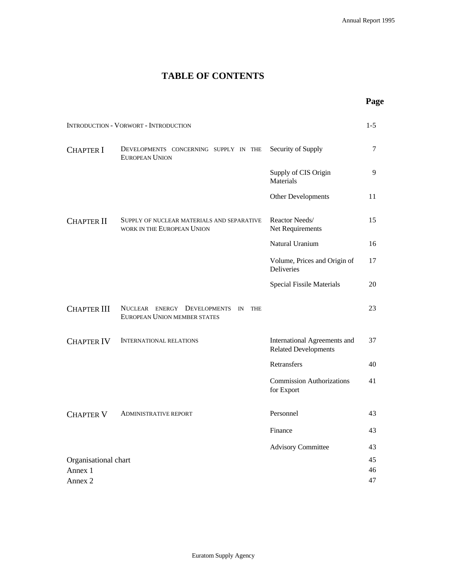## **TABLE OF CONTENTS**

|                      | <b>INTRODUCTION - VORWORT - INTRODUCTION</b>                                              |                                                             | $1 - 5$ |
|----------------------|-------------------------------------------------------------------------------------------|-------------------------------------------------------------|---------|
| <b>CHAPTER I</b>     | DEVELOPMENTS CONCERNING SUPPLY IN THE<br><b>EUROPEAN UNION</b>                            | Security of Supply                                          | $\tau$  |
|                      |                                                                                           | Supply of CIS Origin<br>Materials                           | 9       |
|                      |                                                                                           | Other Developments                                          | 11      |
| <b>CHAPTER II</b>    | SUPPLY OF NUCLEAR MATERIALS AND SEPARATIVE<br>WORK IN THE EUROPEAN UNION                  | Reactor Needs/<br>Net Requirements                          | 15      |
|                      |                                                                                           | Natural Uranium                                             | 16      |
|                      |                                                                                           | Volume, Prices and Origin of<br>Deliveries                  | 17      |
|                      |                                                                                           | Special Fissile Materials                                   | 20      |
| <b>CHAPTER III</b>   | NUCLEAR ENERGY<br><b>DEVELOPMENTS</b><br><b>THE</b><br>IN<br>EUROPEAN UNION MEMBER STATES |                                                             | 23      |
| <b>CHAPTER IV</b>    | <b>INTERNATIONAL RELATIONS</b>                                                            | International Agreements and<br><b>Related Developments</b> | 37      |
|                      |                                                                                           | Retransfers                                                 | 40      |
|                      |                                                                                           | <b>Commission Authorizations</b><br>for Export              | 41      |
| <b>CHAPTER V</b>     | <b>ADMINISTRATIVE REPORT</b>                                                              | Personnel                                                   | 43      |
|                      |                                                                                           | Finance                                                     | 43      |
|                      |                                                                                           | <b>Advisory Committee</b>                                   | 43      |
| Organisational chart |                                                                                           |                                                             | 45      |
| Annex 1              |                                                                                           |                                                             | 46      |
| Annex 2              |                                                                                           |                                                             | 47      |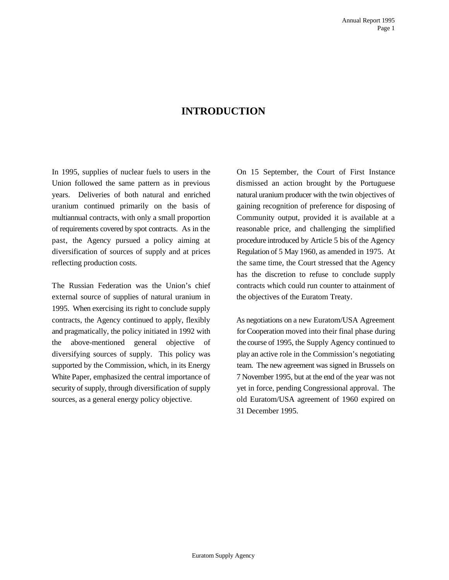## **INTRODUCTION**

In 1995, supplies of nuclear fuels to users in the On 15 September, the Court of First Instance Union followed the same pattern as in previous dismissed an action brought by the Portuguese years. Deliveries of both natural and enriched natural uranium producer with the twin objectives of uranium continued primarily on the basis of gaining recognition of preference for disposing of multiannual contracts, with only a small proportion Community output, provided it is available at a of requirements covered by spot contracts. As in the reasonable price, and challenging the simplified past, the Agency pursued a policy aiming at procedure introduced by Article 5 bis of the Agency diversification of sources of supply and at prices Regulation of 5 May 1960, as amended in 1975. At reflecting production costs. the same time, the Court stressed that the Agency

external source of supplies of natural uranium in the objectives of the Euratom Treaty. 1995. When exercising its right to conclude supply contracts, the Agency continued to apply, flexibly As negotiations on a new Euratom/USA Agreement and pragmatically, the policy initiated in 1992 with for Cooperation moved into their final phase during the above-mentioned general objective of the course of 1995, the Supply Agency continued to diversifying sources of supply. This policy was play an active role in the Commission's negotiating supported by the Commission, which, in its Energy team. The new agreement was signed in Brussels on White Paper, emphasized the central importance of 7 November 1995, but at the end of the year was not security of supply, through diversification of supply yet in force, pending Congressional approval. The sources, as a general energy policy objective.  $\qquad \qquad$  old Euratom/USA agreement of 1960 expired on

The Russian Federation was the Union's chief contracts which could run counter to attainment of has the discretion to refuse to conclude supply

31 December 1995.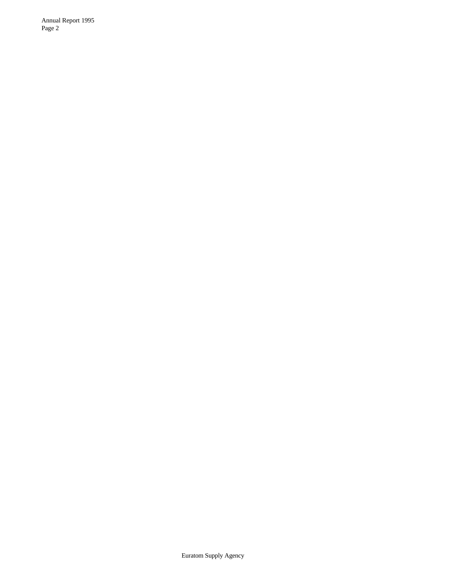Annual Report 1995 Page 2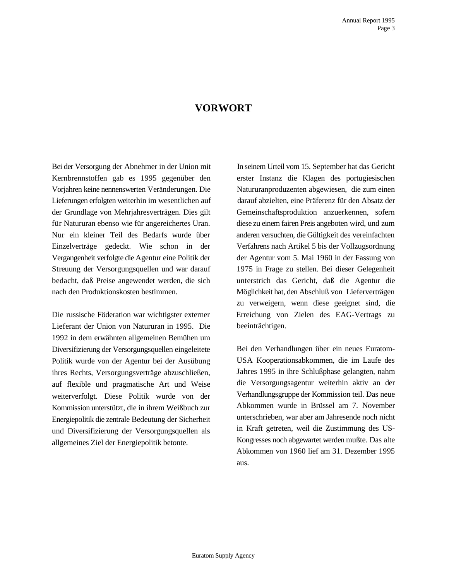## **VORWORT**

Bei der Versorgung der Abnehmer in der Union mit In seinem Urteil vom 15. September hat das Gericht Kernbrennstoffen gab es 1995 gegenüber den erster Instanz die Klagen des portugiesischen Vorjahren keine nennenswerten Veränderungen. Die Natururanproduzenten abgewiesen, die zum einen Lieferungen erfolgten weiterhin im wesentlichen auf darauf abzielten, eine Präferenz für den Absatz der der Grundlage von Mehrjahresverträgen. Dies gilt Gemeinschaftsproduktion anzuerkennen, sofern für Natururan ebenso wie für angereichertes Uran. diese zu einem fairen Preis angeboten wird, und zum Nur ein kleiner Teil des Bedarfs wurde über anderen versuchten, die Gültigkeit des vereinfachten Einzelverträge gedeckt. Wie schon in der Verfahrens nach Artikel 5 bis der Vollzugsordnung Vergangenheit verfolgte die Agentur eine Politik der der Agentur vom 5. Mai 1960 in der Fassung von Streuung der Versorgungsquellen und war darauf 1975 in Frage zu stellen. Bei dieser Gelegenheit bedacht, daß Preise angewendet werden, die sich unterstrich das Gericht, daß die Agentur die nach den Produktionskosten bestimmen. Möglichkeit hat, den Abschluß von Lieferverträgen

Lieferant der Union von Natururan in 1995. Die 1992 in dem erwähnten allgemeinen Bemühen um Diversifizierung der Versorgungsquellen eingeleitete Politik wurde von der Agentur bei der Ausübung ihres Rechts, Versorgungsverträge abzuschließen, auf flexible und pragmatische Art und Weise weiterverfolgt. Diese Politik wurde von der Kommission unterstützt, die in ihrem Weißbuch zur Energiepolitik die zentrale Bedeutung der Sicherheit und Diversifizierung der Versorgungsquellen als allgemeines Ziel der Energiepolitik betonte.

Die russische Föderation war wichtigster externer Erreichung von Zielen des EAG-Vertrags zu zu verweigern, wenn diese geeignet sind, die beeinträchtigen.

> Bei den Verhandlungen über ein neues Euratom-USA Kooperationsabkommen, die im Laufe des Jahres 1995 in ihre Schlußphase gelangten, nahm die Versorgungsagentur weiterhin aktiv an der Verhandlungsgruppe der Kommission teil. Das neue Abkommen wurde in Brüssel am 7. November unterschrieben, war aber am Jahresende noch nicht in Kraft getreten, weil die Zustimmung des US-Kongresses noch abgewartet werden mußte. Das alte Abkommen von 1960 lief am 31. Dezember 1995 aus.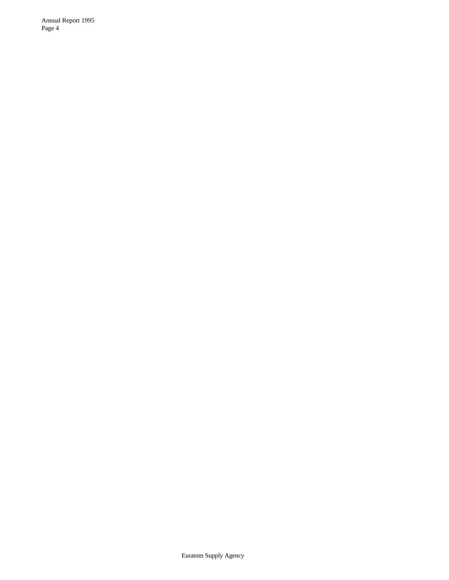Annual Report 1995 Page 4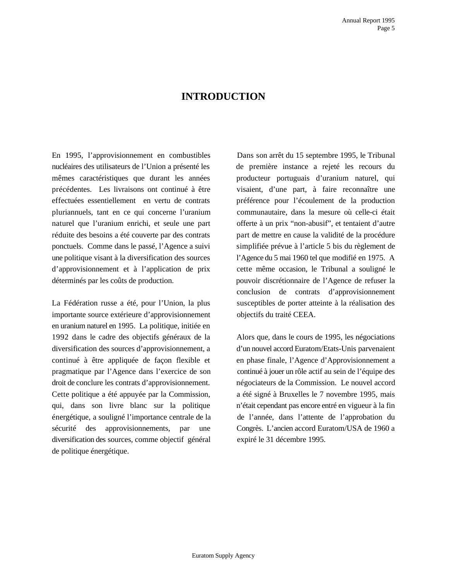## **INTRODUCTION**

En 1995, l'approvisionnement en combustibles Dans son arrêt du 15 septembre 1995, le Tribunal nucléaires des utilisateurs de l'Union a présenté les de première instance a rejeté les recours du mêmes caractéristiques que durant les années producteur portuguais d'uranium naturel, qui précédentes. Les livraisons ont continué à être visaient, d'une part, à faire reconnaître une effectuées essentiellement en vertu de contrats préférence pour l'écoulement de la production pluriannuels, tant en ce qui concerne l'uranium communautaire, dans la mesure où celle-ci était naturel que l'uranium enrichi, et seule une part offerte à un prix "non-abusif", et tentaient d'autre réduite des besoins a été couverte par des contrats part de mettre en cause la validité de la procédure ponctuels. Comme dans le passé, l'Agence a suivi simplifiée prévue à l'article 5 bis du règlement de une politique visant à la diversification des sources l'Agence du 5 mai 1960 tel que modifié en 1975. A d'approvisionnement et à l'application de prix cette même occasion, le Tribunal a souligné le déterminés par les coûts de production. pouvoir discrétionnaire de l'Agence de refuser la

La Fédération russe a été, pour l'Union, la plus susceptibles de porter atteinte à la réalisation des importante source extérieure d'approvisionnement objectifs du traité CEEA. en uranium naturel en 1995. La politique, initiée en 1992 dans le cadre des objectifs généraux de la Alors que, dans le cours de 1995, les négociations diversification des sources d'approvisionnement, a d'un nouvel accord Euratom/Etats-Unis parvenaient continué à être appliquée de façon flexible et en phase finale, l'Agence d'Approvisionnement a pragmatique par l'Agence dans l'exercice de son continué à jouer un rôle actif au sein de l'équipe des droit de conclure les contrats d'approvisionnement. négociateurs de la Commission. Le nouvel accord Cette politique a été appuyée par la Commission, a été signé à Bruxelles le 7 novembre 1995, mais qui, dans son livre blanc sur la politique n'était cependant pas encore entré en vigueur à la fin énergétique, a souligné l'importance centrale de la de l'année, dans l'attente de l'approbation du sécurité des approvisionnements, par une Congrès. L'ancien accord Euratom/USA de 1960 a diversification des sources, comme objectif général expiré le 31 décembre 1995. de politique énergétique.

conclusion de contrats d'approvisionnement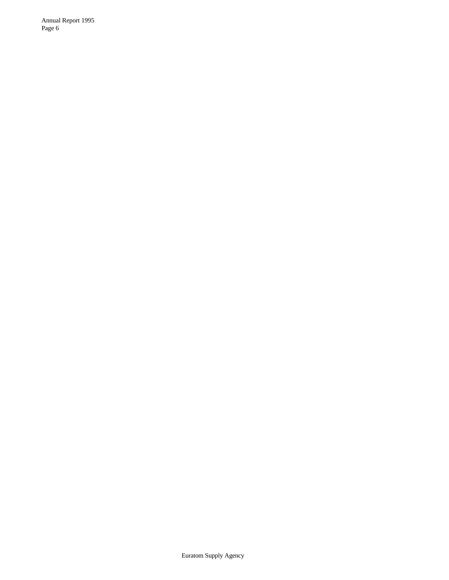Annual Report 1995 Page 6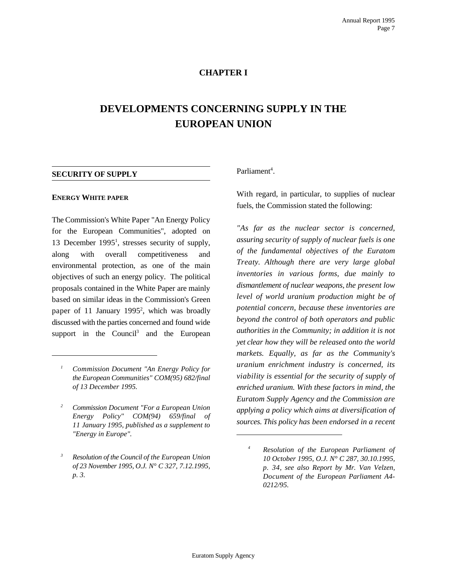#### **CHAPTER I**

## **DEVELOPMENTS CONCERNING SUPPLY IN THE EUROPEAN UNION**

#### **SECURITY OF SUPPLY**

#### **ENERGY WHITE PAPER**

The Commission's White Paper "An Energy Policy for the European Communities", adopted on 13 December 1995<sup>1</sup>, stresses security of supply, along with overall competitiveness and environmental protection, as one of the main objectives of such an energy policy. The political proposals contained in the White Paper are mainly based on similar ideas in the Commission's Green paper of 11 January 1995<sup>2</sup>, which was broadly discussed with the parties concerned and found wide support in the Council<sup>3</sup> and the European Parliament<sup>4</sup>

With regard, in particular, to supplies of nuclear fuels, the Commission stated the following:

*"As far as the nuclear sector is concerned, assuring security of supply of nuclear fuels is one of the fundamental objectives of the Euratom Treaty. Although there are very large global inventories in various forms, due mainly to dismantlement of nuclear weapons, the present low level of world uranium production might be of potential concern, because these inventories are beyond the control of both operators and public authorities in the Community; in addition it is not yet clear how they will be released onto the world markets. Equally, as far as the Community's uranium enrichment industry is concerned, its viability is essential for the security of supply of enriched uranium. With these factors in mind, the Euratom Supply Agency and the Commission are applying a policy which aims at diversification of sources. This policy has been endorsed in a recent*

*Commission Document "An Energy Policy for <sup>1</sup> the European Communities" COM(95) 682/final of 13 December 1995.*

*Commission Document "For a European Union <sup>2</sup> Energy Policy" COM(94) 659/final of 11 January 1995, published as a supplement to "Energy in Europe".*

*Resolution of the Council of the European Union <sup>3</sup> of 23 November 1995, O.J. N° C 327, 7.12.1995, p. 3.*

*Resolution of the European Parliament of <sup>4</sup> 10 October 1995, O.J. N° C 287, 30.10.1995, p. 34, see also Report by Mr. Van Velzen, Document of the European Parliament A4- 0212/95.*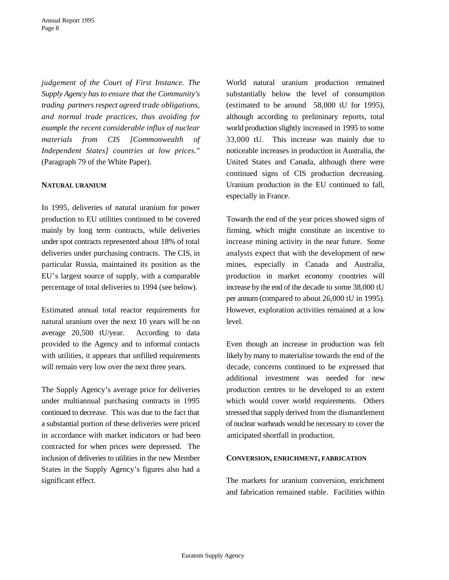*Supply Agency has to ensure that the Community's* substantially below the level of consumption *trading partners respect agreed trade obligations,* (estimated to be around 58,000 tU for 1995), *and normal trade practices, thus avoiding for* although according to preliminary reports, total *example the recent considerable influx of nuclear* world production slightly increased in 1995 to some *materials from CIS [Commonwealth of* 33,000 tU. This increase was mainly due to *Independent States] countries at low prices."* noticeable increases in production in Australia, the (Paragraph 79 of the White Paper). United States and Canada, although there were

#### **NATURAL URANIUM**

In 1995, deliveries of natural uranium for power production to EU utilities continued to be covered Towards the end of the year prices showed signs of mainly by long term contracts, while deliveries firming, which might constitute an incentive to under spot contracts represented about 18% of total increase mining activity in the near future. Some deliveries under purchasing contracts. The CIS, in analysts expect that with the development of new particular Russia, maintained its position as the mines, especially in Canada and Australia, EU's largest source of supply, with a comparable production in market economy countries will percentage of total deliveries to 1994 (see below). increase by the end of the decade to some 38,000 tU

natural uranium over the next 10 years will be on level. average 20,500 tU/year. According to data provided to the Agency and to informal contacts Even though an increase in production was felt with utilities, it appears that unfilled requirements likely by many to materialise towards the end of the will remain very low over the next three years. decade, concerns continued to be expressed that

The Supply Agency's average price for deliveries production centres to be developed to an extent under multiannual purchasing contracts in 1995 which would cover world requirements. Others continued to decrease. This was due to the fact that stressed that supply derived from the dismantlement a substantial portion of these deliveries were priced of nuclear warheads would be necessary to cover the in accordance with market indicators or had been anticipated shortfall in production. contracted for when prices were depressed. The inclusion of deliveries to utilities in the new Member States in the Supply Agency's figures also had a significant effect. The markets for uranium conversion, enrichment

*judgement of the Court of First Instance. The* World natural uranium production remained continued signs of CIS production decreasing. Uranium production in the EU continued to fall, especially in France.

Estimated annual total reactor requirements for However, exploration activities remained at a low per annum (compared to about 26,000 tU in 1995).

additional investment was needed for new

#### **CONVERSION, ENRICHMENT, FABRICATION**

and fabrication remained stable. Facilities within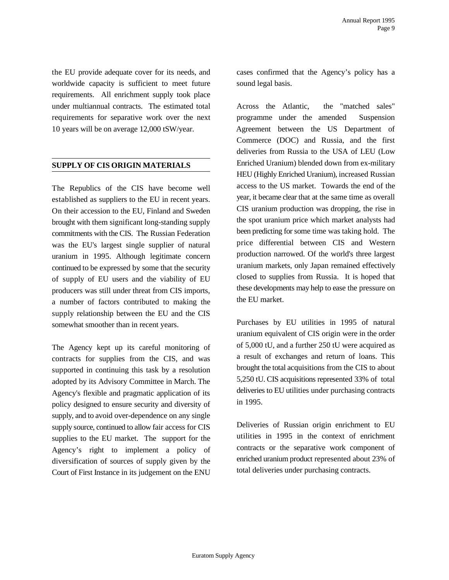the EU provide adequate cover for its needs, and cases confirmed that the Agency's policy has a worldwide capacity is sufficient to meet future sound legal basis. requirements. All enrichment supply took place under multiannual contracts. The estimated total Across the Atlantic, the "matched sales" requirements for separative work over the next programme under the amended Suspension 10 years will be on average 12,000 tSW/year. Agreement between the US Department of

#### **SUPPLY OF CIS ORIGIN MATERIALS**

The Republics of the CIS have become well established as suppliers to the EU in recent years. On their accession to the EU, Finland and Sweden brought with them significant long-standing supply commitments with the CIS. The Russian Federation was the EU's largest single supplier of natural uranium in 1995. Although legitimate concern continued to be expressed by some that the security of supply of EU users and the viability of EU producers was still under threat from CIS imports, a number of factors contributed to making the supply relationship between the EU and the CIS somewhat smoother than in recent years.

The Agency kept up its careful monitoring of contracts for supplies from the CIS, and was supported in continuing this task by a resolution adopted by its Advisory Committee in March. The Agency's flexible and pragmatic application of its policy designed to ensure security and diversity of supply, and to avoid over-dependence on any single supply source, continued to allow fair access for CIS supplies to the EU market. The support for the Agency's right to implement a policy of diversification of sources of supply given by the Court of First Instance in its judgement on the ENU

Commerce (DOC) and Russia, and the first deliveries from Russia to the USA of LEU (Low Enriched Uranium) blended down from ex-military HEU (Highly Enriched Uranium), increased Russian access to the US market. Towards the end of the year, it became clear that at the same time as overall CIS uranium production was dropping, the rise in the spot uranium price which market analysts had been predicting for some time was taking hold. The price differential between CIS and Western production narrowed. Of the world's three largest uranium markets, only Japan remained effectively closed to supplies from Russia. It is hoped that these developments may help to ease the pressure on the EU market.

Purchases by EU utilities in 1995 of natural uranium equivalent of CIS origin were in the order of 5,000 tU, and a further 250 tU were acquired as a result of exchanges and return of loans. This brought the total acquisitions from the CIS to about 5,250 tU. CIS acquisitions represented 33% of total deliveries to EU utilities under purchasing contracts in 1995.

Deliveries of Russian origin enrichment to EU utilities in 1995 in the context of enrichment contracts or the separative work component of enriched uranium product represented about 23% of total deliveries under purchasing contracts.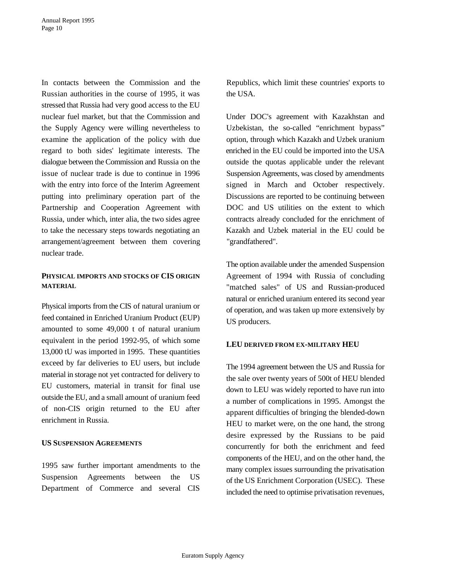In contacts between the Commission and the Republics, which limit these countries' exports to Russian authorities in the course of 1995, it was the USA. stressed that Russia had very good access to the EU nuclear fuel market, but that the Commission and Under DOC's agreement with Kazakhstan and the Supply Agency were willing nevertheless to Uzbekistan, the so-called "enrichment bypass" examine the application of the policy with due option, through which Kazakh and Uzbek uranium regard to both sides' legitimate interests. The enriched in the EU could be imported into the USA dialogue between the Commission and Russia on the outside the quotas applicable under the relevant issue of nuclear trade is due to continue in 1996 Suspension Agreements, was closed by amendments with the entry into force of the Interim Agreement signed in March and October respectively. putting into preliminary operation part of the Discussions are reported to be continuing between Partnership and Cooperation Agreement with DOC and US utilities on the extent to which Russia, under which, inter alia, the two sides agree contracts already concluded for the enrichment of to take the necessary steps towards negotiating an Kazakh and Uzbek material in the EU could be arrangement/agreement between them covering "grandfathered". nuclear trade.

#### **PHYSICAL IMPORTS AND STOCKS OF CIS ORIGIN MATERIAL**

Physical imports from the CIS of natural uranium or feed contained in Enriched Uranium Product (EUP) amounted to some 49,000 t of natural uranium equivalent in the period 1992-95, of which some 13,000 tU was imported in 1995. These quantities exceed by far deliveries to EU users, but include material in storage not yet contracted for delivery to EU customers, material in transit for final use outside the EU, and a small amount of uranium feed of non-CIS origin returned to the EU after enrichment in Russia.

#### **US SUSPENSION AGREEMENTS**

1995 saw further important amendments to the Suspension Agreements between the US Department of Commerce and several CIS

The option available under the amended Suspension Agreement of 1994 with Russia of concluding "matched sales" of US and Russian-produced natural or enriched uranium entered its second year of operation, and was taken up more extensively by US producers.

#### **LEU DERIVED FROM EX-MILITARY HEU**

The 1994 agreement between the US and Russia for the sale over twenty years of 500t of HEU blended down to LEU was widely reported to have run into a number of complications in 1995. Amongst the apparent difficulties of bringing the blended-down HEU to market were, on the one hand, the strong desire expressed by the Russians to be paid concurrently for both the enrichment and feed components of the HEU, and on the other hand, the many complex issues surrounding the privatisation of the US Enrichment Corporation (USEC). These included the need to optimise privatisation revenues,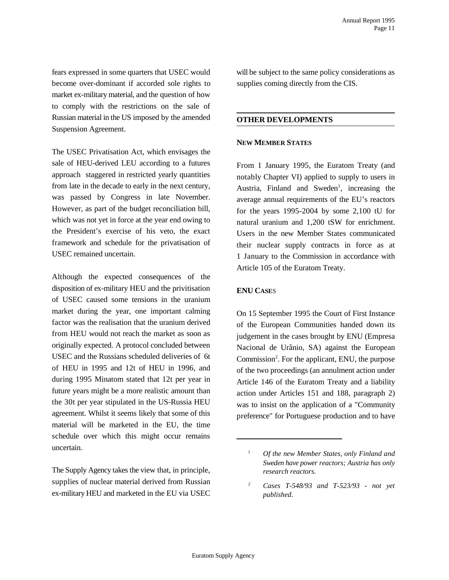become over-dominant if accorded sole rights to supplies coming directly from the CIS. market ex-military material, and the question of how to comply with the restrictions on the sale of Russian material in the US imposed by the amended Suspension Agreement.

The USEC Privatisation Act, which envisages the sale of HEU-derived LEU according to a futures approach staggered in restricted yearly quantities from late in the decade to early in the next century, was passed by Congress in late November. However, as part of the budget reconciliation bill, which was not yet in force at the year end owing to the President's exercise of his veto, the exact framework and schedule for the privatisation of USEC remained uncertain.

Although the expected consequences of the disposition of ex-military HEU and the privitisation of USEC caused some tensions in the uranium market during the year, one important calming factor was the realisation that the uranium derived from HEU would not reach the market as soon as originally expected. A protocol concluded between USEC and the Russians scheduled deliveries of 6t of HEU in 1995 and 12t of HEU in 1996, and during 1995 Minatom stated that 12t per year in future years might be a more realistic amount than the 30t per year stipulated in the US-Russia HEU agreement. Whilst it seems likely that some of this material will be marketed in the EU, the time schedule over which this might occur remains uncertain.

The Supply Agency takes the view that, in principle, supplies of nuclear material derived from Russian ex-military HEU and marketed in the EU via USEC

fears expressed in some quarters that USEC would will be subject to the same policy considerations as

#### **OTHER DEVELOPMENTS**

#### **NEW MEMBER STATES**

From 1 January 1995, the Euratom Treaty (and notably Chapter VI) applied to supply to users in Austria, Finland and Sweden<sup>1</sup>, increasing the average annual requirements of the EU's reactors for the years 1995-2004 by some 2,100 tU for natural uranium and 1,200 tSW for enrichment. Users in the new Member States communicated their nuclear supply contracts in force as at 1 January to the Commission in accordance with Article 105 of the Euratom Treaty.

#### **ENU CASE**S

On 15 September 1995 the Court of First Instance of the European Communities handed down its judgement in the cases brought by ENU (Empresa Nacional de Urânio, SA) against the European Commission<sup>2</sup>. For the applicant, ENU, the purpose of the two proceedings (an annulment action under Article 146 of the Euratom Treaty and a liability action under Articles 151 and 188, paragraph 2) was to insist on the application of a "Community preference" for Portuguese production and to have

<sup>&</sup>lt;sup>1</sup> Of the new Member States, only Finland and *Sweden have power reactors; Austria has only research reactors.*

*Cases T-548/93 and T-523/93 - not yet <sup>2</sup> published*.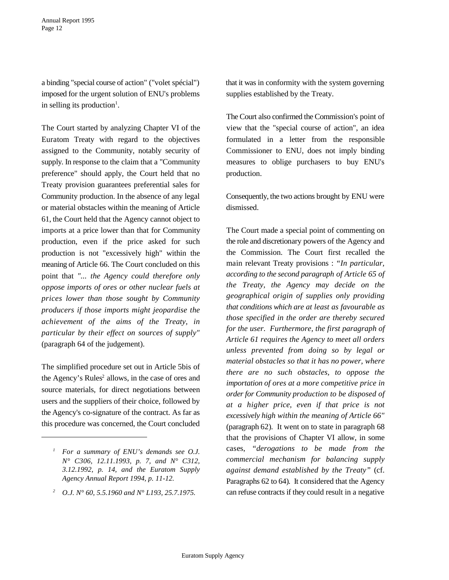imposed for the urgent solution of ENU's problems supplies established by the Treaty. in selling its production<sup>1</sup>.

The Court started by analyzing Chapter VI of the view that the "special course of action", an idea Euratom Treaty with regard to the objectives formulated in a letter from the responsible assigned to the Community, notably security of Commissioner to ENU, does not imply binding supply. In response to the claim that a "Community measures to oblige purchasers to buy ENU's preference" should apply, the Court held that no production. Treaty provision guarantees preferential sales for Community production. In the absence of any legal Consequently, the two actions brought by ENU were or material obstacles within the meaning of Article dismissed. 61, the Court held that the Agency cannot object to imports at a price lower than that for Community The Court made a special point of commenting on production, even if the price asked for such production is not "excessively high" within the meaning of Article 66. The Court concluded on this point that *"... the Agency could therefore only oppose imports of ores or other nuclear fuels at prices lower than those sought by Community producers if those imports might jeopardise the achievement of the aims of the Treaty, in particular by their effect on sources of supply"* (paragraph 64 of the judgement).

The simplified procedure set out in Article 5bis of the Agency's Rules<sup>2</sup> allows, in the case of ores and source materials, for direct negotiations between users and the suppliers of their choice, followed by the Agency's co-signature of the contract. As far as this procedure was concerned, the Court concluded

*O.J. N° 60, 5.5.1960 and N° L193, 25.7.1975. <sup>2</sup>*

a binding "special course of action" ("volet spécial") that it was in conformity with the system governing

The Court also confirmed the Commission's point of

the role and discretionary powers of the Agency and the Commission. The Court first recalled the main relevant Treaty provisions : *"In particular, according to the second paragraph of Article 65 of the Treaty, the Agency may decide on the geographical origin of supplies only providing that conditions which are at least as favourable as those specified in the order are thereby secured for the user. Furthermore, the first paragraph of Article 61 requires the Agency to meet all orders unless prevented from doing so by legal or material obstacles so that it has no power, where there are no such obstacles, to oppose the importation of ores at a more competitive price in order for Community production to be disposed of at a higher price, even if that price is not excessively high within the meaning of Article 66"* (paragraph 62)*.* It went on to state in paragraph 68 that the provisions of Chapter VI allow, in some cases, *"derogations to be made from the commercial mechanism for balancing supply against demand established by the Treaty"* (cf. Paragraphs 62 to 64)*.* It considered that the Agency can refuse contracts if they could result in a negative

*For a summary of ENU's demands see O.J. <sup>1</sup> N° C306, 12.11.1993, p. 7, and N° C312, 3.12.1992, p. 14, and the Euratom Supply Agency Annual Report 1994, p. 11-12.*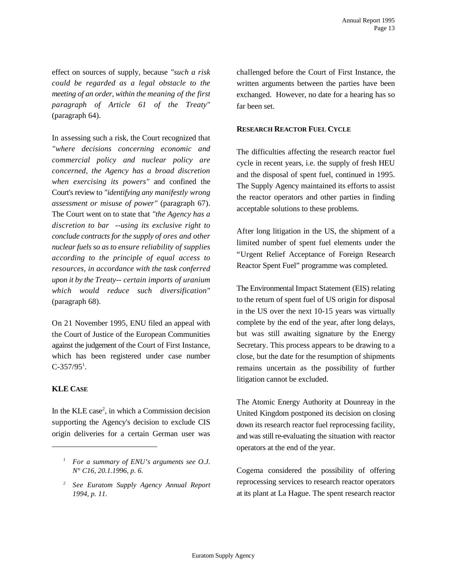effect on sources of supply, because *"such a risk* challenged before the Court of First Instance, the *could be regarded as a legal obstacle to the meeting of an order, within the meaning of the first paragraph of Article 61 of the Treaty"* (paragraph 64).

In assessing such a risk, the Court recognized that *"where decisions concerning economic and commercial policy and nuclear policy are concerned, the Agency has a broad discretion when exercising its powers"* and confined the Court's review to *"identifying any manifestly wrong assessment or misuse of power"* (paragraph 67). The Court went on to state that *"the Agency has a discretion to bar --using its exclusive right to conclude contracts for the supply of ores and other nuclear fuels so as to ensure reliability of supplies according to the principle of equal access to resources, in accordance with the task conferred upon it by the Treaty-- certain imports of uranium which would reduce such diversification"* (paragraph 68).

On 21 November 1995, ENU filed an appeal with the Court of Justice of the European Communities against the judgement of the Court of First Instance, which has been registered under case number  $C-357/95^1$ .

#### **KLE CASE**

In the KLE case<sup>2</sup>, in which a Commission decision supporting the Agency's decision to exclude CIS origin deliveries for a certain German user was

 *See Euratom Supply Agency Annual Report <sup>2</sup> 1994, p. 11.*

written arguments between the parties have been exchanged. However, no date for a hearing has so far been set.

#### **RESEARCH REACTOR FUEL CYCLE**

The difficulties affecting the research reactor fuel cycle in recent years, i.e. the supply of fresh HEU and the disposal of spent fuel, continued in 1995. The Supply Agency maintained its efforts to assist the reactor operators and other parties in finding acceptable solutions to these problems.

After long litigation in the US, the shipment of a limited number of spent fuel elements under the "Urgent Relief Acceptance of Foreign Research Reactor Spent Fuel" programme was completed.

The Environmental Impact Statement (EIS) relating to the return of spent fuel of US origin for disposal in the US over the next 10-15 years was virtually complete by the end of the year, after long delays, but was still awaiting signature by the Energy Secretary. This process appears to be drawing to a close, but the date for the resumption of shipments remains uncertain as the possibility of further litigation cannot be excluded.

The Atomic Energy Authority at Dounreay in the United Kingdom postponed its decision on closing down its research reactor fuel reprocessing facility, and was still re-evaluating the situation with reactor operators at the end of the year.

Cogema considered the possibility of offering reprocessing services to research reactor operators at its plant at La Hague. The spent research reactor

*For a summary of ENU's arguments see O.J. N° C16, 20.1.1996, p. 6.*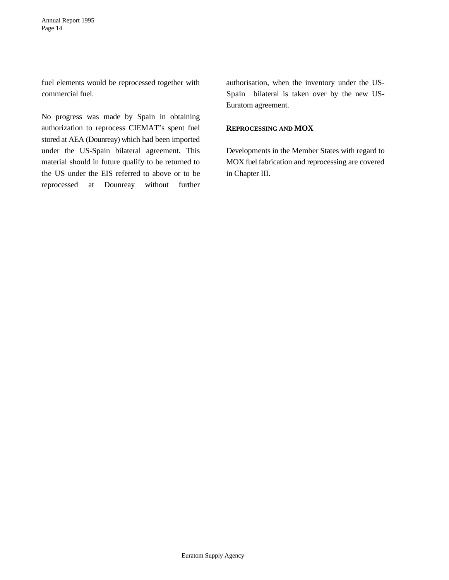Annual Report 1995 Page 14

No progress was made by Spain in obtaining authorization to reprocess CIEMAT's spent fuel stored at AEA (Dounreay) which had been imported under the US-Spain bilateral agreement. This Developments in the Member States with regard to material should in future qualify to be returned to MOX fuel fabrication and reprocessing are covered the US under the EIS referred to above or to be in Chapter III. reprocessed at Dounreay without further

fuel elements would be reprocessed together with authorisation, when the inventory under the UScommercial fuel. Spain bilateral is taken over by the new US-Euratom agreement.

#### **REPROCESSING AND MOX**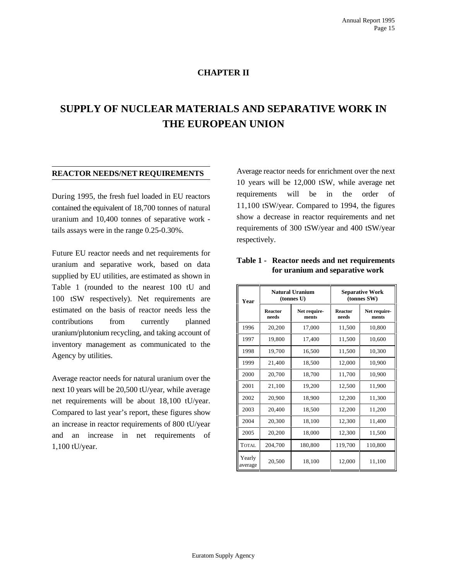#### **CHAPTER II**

## **SUPPLY OF NUCLEAR MATERIALS AND SEPARATIVE WORK IN THE EUROPEAN UNION**

#### **REACTOR NEEDS/NET REQUIREMENTS**

During 1995, the fresh fuel loaded in EU reactors contained the equivalent of 18,700 tonnes of natural uranium and 10,400 tonnes of separative work tails assays were in the range 0.25-0.30%.

Future EU reactor needs and net requirements for uranium and separative work, based on data supplied by EU utilities, are estimated as shown in Table 1 (rounded to the nearest 100 tU and 100 tSW respectively). Net requirements are estimated on the basis of reactor needs less the contributions from currently planned uranium/plutonium recycling, and taking account of inventory management as communicated to the Agency by utilities.

Average reactor needs for natural uranium over the next 10 years will be 20,500 tU/year, while average net requirements will be about 18,100 tU/year. Compared to last year's report, these figures show an increase in reactor requirements of 800 tU/year and an increase in net requirements of 1,100 tU/year.

Average reactor needs for enrichment over the next 10 years will be 12,000 tSW, while average net requirements will be in the order of 11,100 tSW/year. Compared to 1994, the figures show a decrease in reactor requirements and net requirements of 300 tSW/year and 400 tSW/year respectively.

| Year              | <b>Natural Uranium</b><br>(tonnes U) |                       | <b>Separative Work</b><br>(tonnes SW) |                       |
|-------------------|--------------------------------------|-----------------------|---------------------------------------|-----------------------|
|                   | <b>Reactor</b><br>needs              | Net require-<br>ments | <b>Reactor</b><br>needs               | Net require-<br>ments |
| 1996              | 20,200                               | 17,000                | 11,500                                | 10,800                |
| 1997              | 19,800                               | 17,400                | 11,500                                | 10,600                |
| 1998              | 19,700                               | 16,500                | 11,500                                | 10,300                |
| 1999              | 21,400                               | 18,500                | 12,000                                | 10,900                |
| 2000              | 20,700                               | 18,700                | 11,700                                | 10,900                |
| 2001              | 21,100                               | 19,200                | 12,500                                | 11,900                |
| 2002              | 20,900                               | 18.900                | 12,200                                | 11,300                |
| 2003              | 20,400                               | 18,500                | 12,200                                | 11,200                |
| 2004              | 20,300                               | 18,100                | 12,300                                | 11,400                |
| 2005              | 20,200                               | 18,000                | 12,300                                | 11,500                |
| TOTAL             | 204,700                              | 180,800               | 119,700                               | 110,800               |
| Yearly<br>average | 20,500                               | 18,100                | 12,000                                | 11,100                |

#### **Table 1 - Reactor needs and net requirements for uranium and separative work**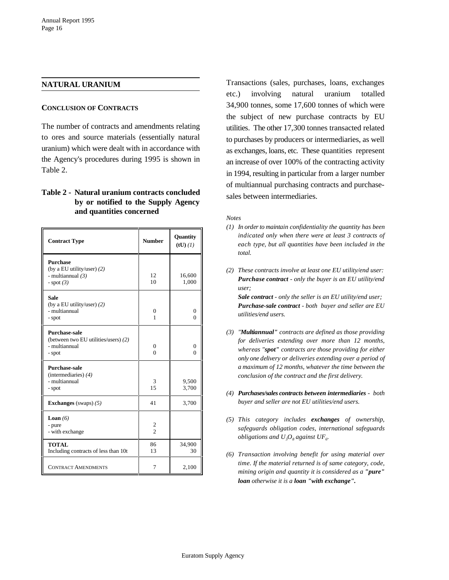#### **NATURAL URANIUM**

#### **CONCLUSION OF CONTRACTS**

The number of contracts and amendments relating to ores and source materials (essentially natural uranium) which were dealt with in accordance with the Agency's procedures during 1995 is shown in Table 2.

#### **Table 2 - Natural uranium contracts concluded by or notified to the Supply Agency and quantities concerned**

| <b>Contract Type</b>                                                                 | <b>Number</b>              | Quantity<br>$(tU)$ $(l)$ |
|--------------------------------------------------------------------------------------|----------------------------|--------------------------|
| <b>Purchase</b><br>(by a EU utility/user) (2)<br>- multiannual $(3)$<br>- spot $(3)$ | 12<br>10                   | 16,600<br>1,000          |
| <b>Sale</b><br>(by a EU utility/user) $(2)$<br>- multiannual<br>- spot               | $\overline{0}$<br>1        | $\mathbf{0}$<br>$\Omega$ |
| Purchase-sale<br>(between two EU utilities/users) (2)<br>- multiannual<br>- spot     | $\overline{0}$<br>$\Omega$ | 0<br>$\Omega$            |
| <b>Purchase-sale</b><br>(intermediaries) $(4)$<br>- multiannual<br>- spot            | 3<br>15                    | 9,500<br>3,700           |
| <b>Exchanges</b> (swaps) $(5)$                                                       | 41                         | 3,700                    |
| <b>Loan</b> $(6)$<br>- pure<br>- with exchange                                       | $\frac{2}{2}$              |                          |
| <b>TOTAL</b><br>Including contracts of less than 10t                                 | 86<br>13                   | 34,900<br>30             |
| <b>CONTRACT AMENDMENTS</b>                                                           | 7                          | 2,100                    |

Transactions (sales, purchases, loans, exchanges etc.) involving natural uranium totalled 34,900 tonnes, some 17,600 tonnes of which were the subject of new purchase contracts by EU utilities. The other 17,300 tonnes transacted related to purchases by producers or intermediaries, as well as exchanges, loans, etc. These quantities represent an increase of over 100% of the contracting activity in 1994, resulting in particular from a larger number of multiannual purchasing contracts and purchasesales between intermediaries.

#### *Notes*

- *(1) In order to maintain confidentiality the quantity has been indicated only when there were at least 3 contracts of each type, but all quantities have been included in the total.*
- *(2) These contracts involve at least one EU utility/end user: Purchase contract - only the buyer is an EU utility/end user;*

*Sale contract - only the seller is an EU utility/end user; Purchase-sale contract - both buyer and seller are EU utilities/end users.*

- *(3) "Multiannual" contracts are defined as those providing for deliveries extending over more than 12 months, whereas "spot" contracts are those providing for either only one delivery or deliveries extending over a period of a maximum of 12 months, whatever the time between the conclusion of the contract and the first delivery.*
- *(4) Purchases/sales contracts between intermediaries both buyer and seller are not EU utilities/end users.*
- *(5) This category includes exchanges of ownership, safeguards obligation codes, international safeguards obligations and*  $U_3O_8$  *against*  $UF_6$ *.*
- *(6) Transaction involving benefit for using material over time. If the material returned is of same category, code, mining origin and quantity it is considered as a "pure" loan otherwise it is a loan "with exchange".*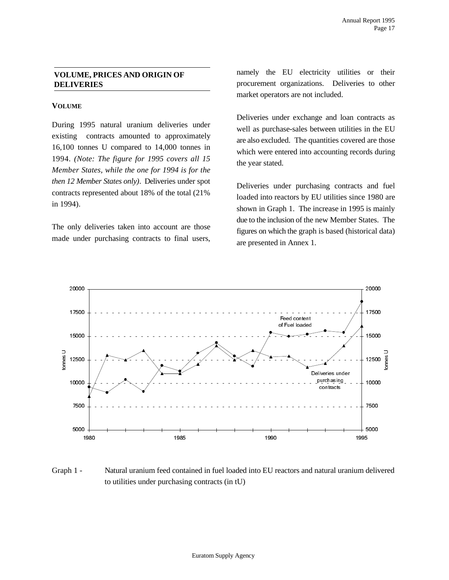#### **VOLUME, PRICES AND ORIGIN OF DELIVERIES**

#### **VOLUME**

During 1995 natural uranium deliveries under existing contracts amounted to approximately 16,100 tonnes U compared to 14,000 tonnes in 1994. *(Note: The figure for 1995 covers all 15 Member States, while the one for 1994 is for the then 12 Member States only)*. Deliveries under spot contracts represented about 18% of the total (21% in 1994).

The only deliveries taken into account are those made under purchasing contracts to final users, namely the EU electricity utilities or their procurement organizations. Deliveries to other market operators are not included.

Deliveries under exchange and loan contracts as well as purchase-sales between utilities in the EU are also excluded. The quantities covered are those which were entered into accounting records during the year stated.

Deliveries under purchasing contracts and fuel loaded into reactors by EU utilities since 1980 are shown in Graph 1. The increase in 1995 is mainly due to the inclusion of the new Member States. The figures on which the graph is based (historical data) are presented in Annex 1.



Graph 1 - Natural uranium feed contained in fuel loaded into EU reactors and natural uranium delivered to utilities under purchasing contracts (in tU)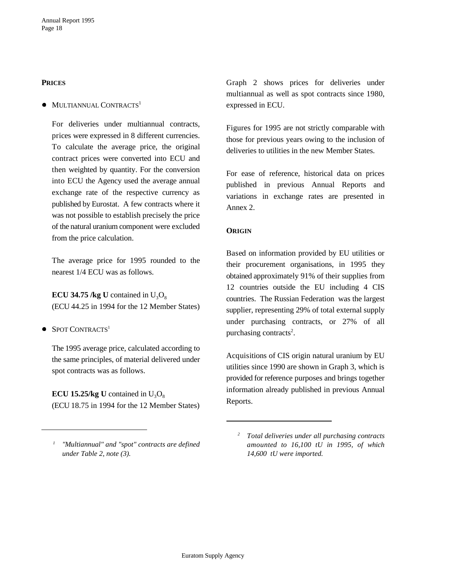#### **PRICES**

 $\bullet$  MULTIANNUAL CONTRACTS<sup>1</sup> expressed in ECU.

For deliveries under multiannual contracts, prices were expressed in 8 different currencies. To calculate the average price, the original contract prices were converted into ECU and then weighted by quantity. For the conversion into ECU the Agency used the average annual exchange rate of the respective currency as published by Eurostat. A few contracts where it was not possible to establish precisely the price of the natural uranium component were excluded from the price calculation.

The average price for 1995 rounded to the nearest 1/4 ECU was as follows.

**ECU 34.75 /kg U** contained in  $U_3O_8$ (ECU 44.25 in 1994 for the 12 Member States)

 $\bullet$  Spot CONTRACTS<sup>1</sup>

The 1995 average price, calculated according to the same principles, of material delivered under spot contracts was as follows.

**ECU 15.25/kg U** contained in  $U_3O_8$ (ECU 18.75 in 1994 for the 12 Member States) Graph 2 shows prices for deliveries under multiannual as well as spot contracts since 1980,

Figures for 1995 are not strictly comparable with those for previous years owing to the inclusion of deliveries to utilities in the new Member States.

For ease of reference, historical data on prices published in previous Annual Reports and variations in exchange rates are presented in Annex 2.

#### **ORIGIN**

Based on information provided by EU utilities or their procurement organisations, in 1995 they obtained approximately 91% of their supplies from 12 countries outside the EU including 4 CIS countries. The Russian Federation was the largest supplier, representing 29% of total external supply under purchasing contracts, or 27% of all purchasing contracts<sup>2</sup>.

Acquisitions of CIS origin natural uranium by EU utilities since 1990 are shown in Graph 3, which is provided for reference purposes and brings together information already published in previous Annual Reports.

*"Multiannual" and "spot" contracts are defined <sup>1</sup> under Table 2, note (3). 14,600 tU were imported.*

*Total deliveries under all purchasing contracts <sup>2</sup> amounted to 16,100 tU in 1995, of which*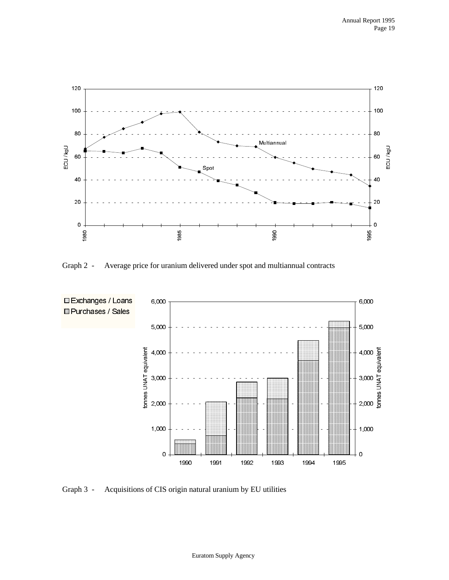

Graph 2 - Average price for uranium delivered under spot and multiannual contracts



Graph 3 - Acquisitions of CIS origin natural uranium by EU utilities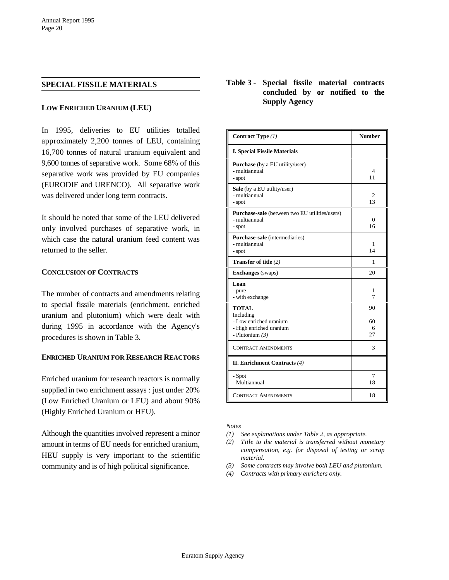#### **SPECIAL FISSILE MATERIALS**

#### **LOW ENRICHED URANIUM (LEU)**

In 1995, deliveries to EU utilities totalled approximately 2,200 tonnes of LEU, containing 16,700 tonnes of natural uranium equivalent and 9,600 tonnes of separative work. Some 68% of this separative work was provided by EU companies (EURODIF and URENCO). All separative work was delivered under long term contracts.

It should be noted that some of the LEU delivered only involved purchases of separative work, in which case the natural uranium feed content was returned to the seller.

#### **CONCLUSION OF CONTRACTS**

The number of contracts and amendments relating to special fissile materials (enrichment, enriched uranium and plutonium) which were dealt with during 1995 in accordance with the Agency's procedures is shown in Table 3.

#### **ENRICHED URANIUM FOR RESEARCH REACTORS**

Enriched uranium for research reactors is normally supplied in two enrichment assays : just under 20% (Low Enriched Uranium or LEU) and about 90% (Highly Enriched Uranium or HEU).

Although the quantities involved represent a minor amount in terms of EU needs for enriched uranium, HEU supply is very important to the scientific community and is of high political significance.

#### **Table 3 - Special fissile material contracts concluded by or notified to the Supply Agency**

| Contract Type $(1)$                                                                                 | <b>Number</b>       |
|-----------------------------------------------------------------------------------------------------|---------------------|
| <b>I. Special Fissile Materials</b>                                                                 |                     |
| <b>Purchase</b> (by a EU utility/user)<br>- multiannual<br>- spot                                   | 4<br>11             |
| Sale (by a EU utility/user)<br>- multiannual<br>- spot                                              | 2<br>13             |
| Purchase-sale (between two EU utilities/users)<br>- multiannual<br>- spot                           | $\Omega$<br>16      |
| Purchase-sale (intermediaries)<br>- multiannual<br>- spot                                           | 1<br>14             |
| <b>Transfer of title</b> $(2)$                                                                      | 1                   |
| <b>Exchanges</b> (swaps)                                                                            | 20                  |
| Loan<br>- pure<br>- with exchange                                                                   | 1<br>7              |
| <b>TOTAL</b><br>Including<br>- Low enriched uranium<br>- High enriched uranium<br>- Plutonium $(3)$ | 90<br>60<br>6<br>27 |
| <b>CONTRACT AMENDMENTS</b>                                                                          | 3                   |
| <b>II.</b> Enrichment Contracts $(4)$                                                               |                     |
| - Spot<br>- Multiannual                                                                             | 7<br>18             |
| <b>CONTRACT AMENDMENTS</b>                                                                          | 18                  |

#### *Notes*

*(1) See explanations under Table 2, as appropriate.*

- *(2) Title to the material is transferred without monetary compensation, e.g. for disposal of testing or scrap material.*
- *(3) Some contracts may involve both LEU and plutonium.*
- *(4) Contracts with primary enrichers only.*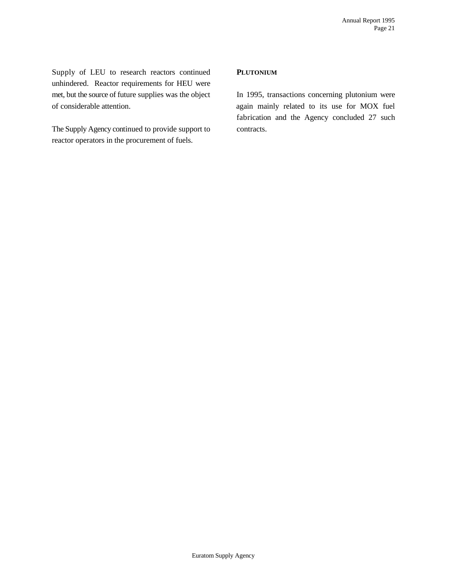Supply of LEU to research reactors continued unhindered. Reactor requirements for HEU were met, but the source of future supplies was the object In 1995, transactions concerning plutonium were

The Supply Agency continued to provide support to contracts. reactor operators in the procurement of fuels.

#### **PLUTONIUM**

of considerable attention. again mainly related to its use for MOX fuel fabrication and the Agency concluded 27 such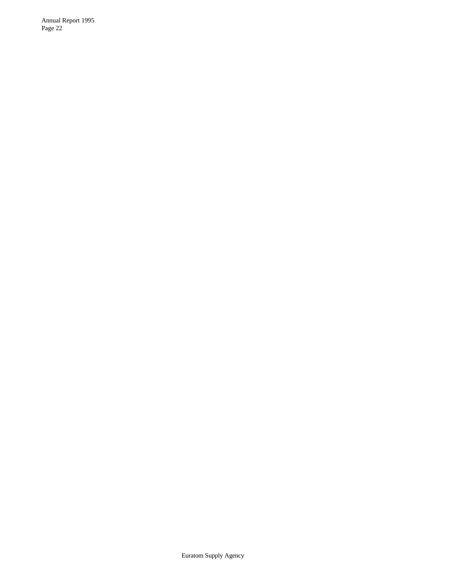Annual Report 1995 Page 22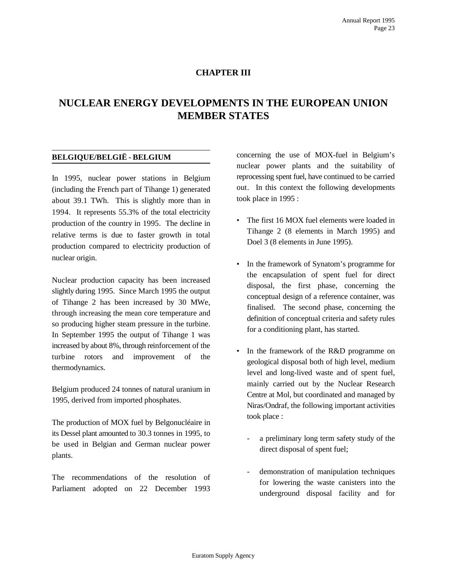### **CHAPTER III**

## **NUCLEAR ENERGY DEVELOPMENTS IN THE EUROPEAN UNION MEMBER STATES**

#### **BELGIQUE/BELGIË - BELGIUM**

In 1995, nuclear power stations in Belgium (including the French part of Tihange 1) generated about 39.1 TWh. This is slightly more than in 1994. It represents 55.3% of the total electricity production of the country in 1995. The decline in relative terms is due to faster growth in total production compared to electricity production of nuclear origin.

Nuclear production capacity has been increased slightly during 1995. Since March 1995 the output of Tihange 2 has been increased by 30 MWe, through increasing the mean core temperature and so producing higher steam pressure in the turbine. In September 1995 the output of Tihange 1 was increased by about 8%, through reinforcement of the turbine rotors and improvement of the thermodynamics.

Belgium produced 24 tonnes of natural uranium in 1995, derived from imported phosphates.

The production of MOX fuel by Belgonucléaire in its Dessel plant amounted to 30.3 tonnes in 1995, to be used in Belgian and German nuclear power plants.

The recommendations of the resolution of Parliament adopted on 22 December 1993 concerning the use of MOX-fuel in Belgium's nuclear power plants and the suitability of reprocessing spent fuel, have continued to be carried out. In this context the following developments took place in 1995 :

- The first 16 MOX fuel elements were loaded in Tihange 2 (8 elements in March 1995) and Doel 3 (8 elements in June 1995).
- In the framework of Synatom's programme for the encapsulation of spent fuel for direct disposal, the first phase, concerning the conceptual design of a reference container, was finalised. The second phase, concerning the definition of conceptual criteria and safety rules for a conditioning plant, has started.
- In the framework of the R&D programme on geological disposal both of high level, medium level and long-lived waste and of spent fuel, mainly carried out by the Nuclear Research Centre at Mol, but coordinated and managed by Niras/Ondraf, the following important activities took place :
	- a preliminary long term safety study of the direct disposal of spent fuel;
	- demonstration of manipulation techniques for lowering the waste canisters into the underground disposal facility and for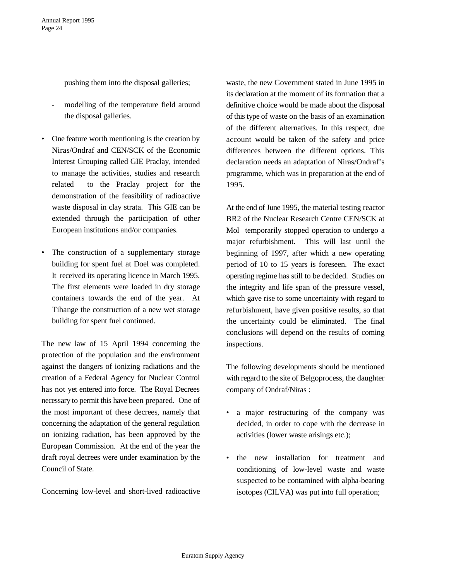- modelling of the temperature field around the disposal galleries.
- One feature worth mentioning is the creation by Niras/Ondraf and CEN/SCK of the Economic Interest Grouping called GIE Praclay, intended to manage the activities, studies and research related to the Praclay project for the demonstration of the feasibility of radioactive waste disposal in clay strata. This GIE can be extended through the participation of other European institutions and/or companies.
- The construction of a supplementary storage building for spent fuel at Doel was completed. It received its operating licence in March 1995. The first elements were loaded in dry storage containers towards the end of the year. At Tihange the construction of a new wet storage building for spent fuel continued.

The new law of 15 April 1994 concerning the protection of the population and the environment against the dangers of ionizing radiations and the creation of a Federal Agency for Nuclear Control has not yet entered into force. The Royal Decrees necessary to permit this have been prepared. One of the most important of these decrees, namely that concerning the adaptation of the general regulation on ionizing radiation, has been approved by the European Commission. At the end of the year the draft royal decrees were under examination by the Council of State.

Concerning low-level and short-lived radioactive

pushing them into the disposal galleries; waste, the new Government stated in June 1995 in its declaration at the moment of its formation that a definitive choice would be made about the disposal of this type of waste on the basis of an examination of the different alternatives. In this respect, due account would be taken of the safety and price differences between the different options. This declaration needs an adaptation of Niras/Ondraf's programme, which was in preparation at the end of 1995.

> At the end of June 1995, the material testing reactor BR2 of the Nuclear Research Centre CEN/SCK at Mol temporarily stopped operation to undergo a major refurbishment. This will last until the beginning of 1997, after which a new operating period of 10 to 15 years is foreseen. The exact operating regime has still to be decided. Studies on the integrity and life span of the pressure vessel, which gave rise to some uncertainty with regard to refurbishment, have given positive results, so that the uncertainty could be eliminated. The final conclusions will depend on the results of coming inspections.

> The following developments should be mentioned with regard to the site of Belgoprocess, the daughter company of Ondraf/Niras :

- a major restructuring of the company was decided, in order to cope with the decrease in activities (lower waste arisings etc.);
- the new installation for treatment and conditioning of low-level waste and waste suspected to be contamined with alpha-bearing isotopes (CILVA) was put into full operation;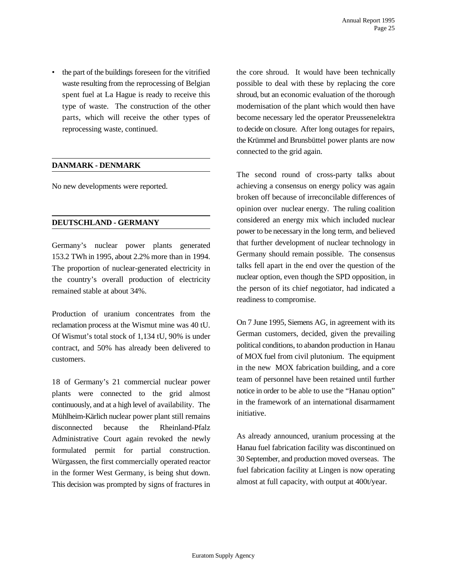#### **DANMARK - DENMARK**

No new developments were reported.

#### **DEUTSCHLAND - GERMANY**

Germany's nuclear power plants generated 153.2 TWh in 1995, about 2.2% more than in 1994. The proportion of nuclear-generated electricity in the country's overall production of electricity remained stable at about 34%.

Production of uranium concentrates from the reclamation process at the Wismut mine was 40 tU. Of Wismut's total stock of 1,134 tU, 90% is under contract, and 50% has already been delivered to customers.

18 of Germany's 21 commercial nuclear power plants were connected to the grid almost continuously, and at a high level of availability. The Mühlheim-Kärlich nuclear power plant still remains disconnected because the Rheinland-Pfalz Administrative Court again revoked the newly formulated permit for partial construction. Würgassen, the first commercially operated reactor in the former West Germany, is being shut down. This decision was prompted by signs of fractures in

• the part of the buildings foreseen for the vitrified the core shroud. It would have been technically waste resulting from the reprocessing of Belgian possible to deal with these by replacing the core spent fuel at La Hague is ready to receive this shroud, but an economic evaluation of the thorough type of waste. The construction of the other modernisation of the plant which would then have parts, which will receive the other types of become necessary led the operator Preussenelektra reprocessing waste, continued. to decide on closure. After long outages for repairs, the Krümmel and Brunsbüttel power plants are now connected to the grid again.

> The second round of cross-party talks about achieving a consensus on energy policy was again broken off because of irreconcilable differences of opinion over nuclear energy. The ruling coalition considered an energy mix which included nuclear power to be necessary in the long term, and believed that further development of nuclear technology in Germany should remain possible. The consensus talks fell apart in the end over the question of the nuclear option, even though the SPD opposition, in the person of its chief negotiator, had indicated a readiness to compromise.

> On 7 June 1995, Siemens AG, in agreement with its German customers, decided, given the prevailing political conditions, to abandon production in Hanau of MOX fuel from civil plutonium. The equipment in the new MOX fabrication building, and a core team of personnel have been retained until further notice in order to be able to use the "Hanau option" in the framework of an international disarmament initiative.

> As already announced, uranium processing at the Hanau fuel fabrication facility was discontinued on 30 September, and production moved overseas. The fuel fabrication facility at Lingen is now operating almost at full capacity, with output at 400t/year.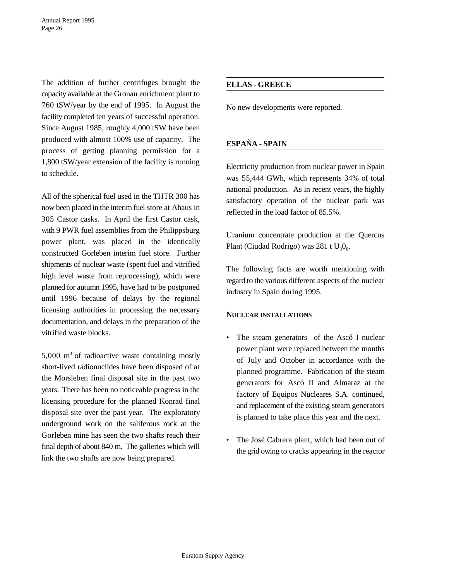The addition of further centrifuges brought the capacity available at the Gronau enrichment plant to 760 tSW/year by the end of 1995. In August the facility completed ten years of successful operation. Since August 1985, roughly 4,000 tSW have been produced with almost 100% use of capacity. The process of getting planning permission for a 1,800 tSW/year extension of the facility is running to schedule.

All of the spherical fuel used in the THTR 300 has now been placed in the interim fuel store at Ahaus in 305 Castor casks. In April the first Castor cask, with 9 PWR fuel assemblies from the Philippsburg power plant, was placed in the identically constructed Gorleben interim fuel store. Further shipments of nuclear waste (spent fuel and vitrified high level waste from reprocessing), which were planned for autumn 1995, have had to be postponed until 1996 because of delays by the regional licensing authorities in processing the necessary documentation, and delays in the preparation of the vitrified waste blocks.

5,000  $\text{m}^3$  of radioactive waste containing mostly short-lived radionuclides have been disposed of at the Morsleben final disposal site in the past two years. There has been no noticeable progress in the licensing procedure for the planned Konrad final disposal site over the past year. The exploratory underground work on the saliferous rock at the Gorleben mine has seen the two shafts reach their final depth of about 840 m. The galleries which will link the two shafts are now being prepared.

#### **ELLAS - GREECE**

No new developments were reported.

#### **ESPAÑA - SPAIN**

Electricity production from nuclear power in Spain was 55,444 GWh, which represents 34% of total national production. As in recent years, the highly satisfactory operation of the nuclear park was reflected in the load factor of 85.5%.

Uranium concentrate production at the Quercus Plant (Ciudad Rodrigo) was  $281 \text{ t U}_3\text{O}_8$ .

The following facts are worth mentioning with regard to the various different aspects of the nuclear industry in Spain during 1995.

#### **NUCLEAR INSTALLATIONS**

- The steam generators of the Ascó I nuclear power plant were replaced between the months of July and October in accordance with the planned programme. Fabrication of the steam generators for Ascó II and Almaraz at the factory of Equipos Nucleares S.A. continued, and replacement of the existing steam generators is planned to take place this year and the next.
- The José Cabrera plant, which had been out of the grid owing to cracks appearing in the reactor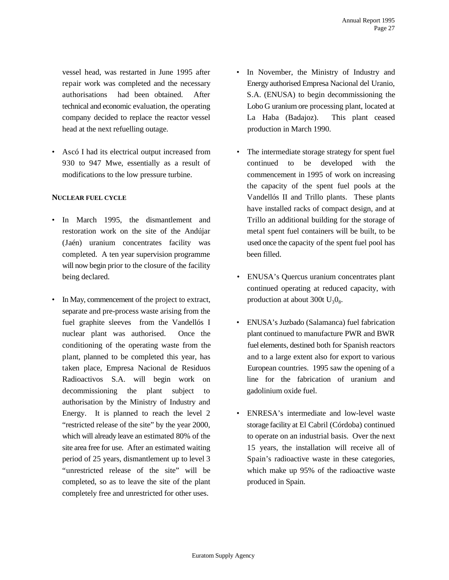head at the next refuelling outage. production in March 1990.

• Ascó I had its electrical output increased from • The intermediate storage strategy for spent fuel

#### **NUCLEAR FUEL CYCLE**

- In March 1995, the dismantlement and Trillo an additional building for the storage of completed. A ten year supervision programme been filled. will now begin prior to the closure of the facility
- $\bullet$  In May, commencement of the project to extract, separate and pre-process waste arising from the decommissioning the plant subject to gadolinium oxide fuel. authorisation by the Ministry of Industry and completed, so as to leave the site of the plant produced in Spain. completely free and unrestricted for other uses.
- vessel head, was restarted in June 1995 after In November, the Ministry of Industry and repair work was completed and the necessary Energy authorised Empresa Nacional del Uranio, authorisations had been obtained. After S.A. (ENUSA) to begin decommissioning the technical and economic evaluation, the operating Lobo G uranium ore processing plant, located at company decided to replace the reactor vessel La Haba (Badajoz). This plant ceased
- 930 to 947 Mwe, essentially as a result of continued to be developed with the modifications to the low pressure turbine. commencement in 1995 of work on increasing restoration work on the site of the Andújar metal spent fuel containers will be built, to be (Jaén) uranium concentrates facility was used once the capacity of the spent fuel pool has the capacity of the spent fuel pools at the Vandellós II and Trillo plants. These plants have installed racks of compact design, and at
- being declared. ENUSA's Quercus uranium concentrates plant continued operating at reduced capacity, with production at about 300t  $U_3O_8$ .
- fuel graphite sleeves from the Vandellós I ENUSA's Juzbado (Salamanca) fuel fabrication nuclear plant was authorised. Once the plant continued to manufacture PWR and BWR conditioning of the operating waste from the fuel elements, destined both for Spanish reactors plant, planned to be completed this year, has and to a large extent also for export to various taken place, Empresa Nacional de Residuos European countries. 1995 saw the opening of a Radioactivos S.A. will begin work on line for the fabrication of uranium and
- Energy. It is planned to reach the level 2 ENRESA's intermediate and low-level waste "restricted release of the site" by the year 2000, storage facility at El Cabril (Córdoba) continued which will already leave an estimated 80% of the to operate on an industrial basis. Over the next site area free for use. After an estimated waiting 15 years, the installation will receive all of period of 25 years, dismantlement up to level 3 Spain's radioactive waste in these categories, "unrestricted release of the site" will be which make up 95% of the radioactive waste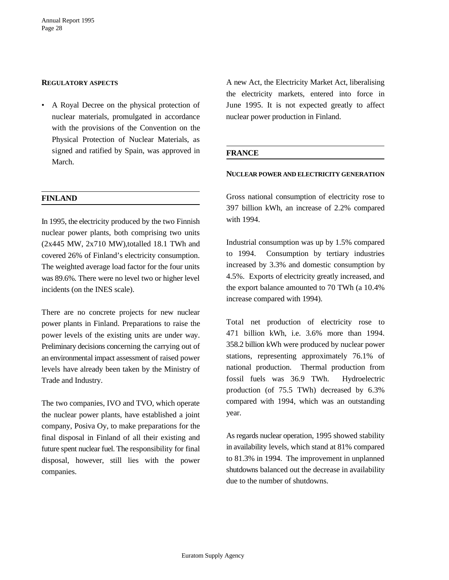#### **REGULATORY ASPECTS**

• A Royal Decree on the physical protection of June 1995. It is not expected greatly to affect nuclear materials, promulgated in accordance nuclear power production in Finland. with the provisions of the Convention on the Physical Protection of Nuclear Materials, as signed and ratified by Spain, was approved in March.

#### **FINLAND**

In 1995, the electricity produced by the two Finnish nuclear power plants, both comprising two units  $(2x445 \text{ MW}, 2x710 \text{ MW})$ , totalled 18.1 TWh and covered 26% of Finland's electricity consumption. The weighted average load factor for the four units was 89.6%. There were no level two or higher level incidents (on the INES scale).

There are no concrete projects for new nuclear power plants in Finland. Preparations to raise the power levels of the existing units are under way. Preliminary decisions concerning the carrying out of an environmental impact assessment of raised power levels have already been taken by the Ministry of Trade and Industry.

The two companies, IVO and TVO, which operate the nuclear power plants, have established a joint company, Posiva Oy, to make preparations for the final disposal in Finland of all their existing and future spent nuclear fuel. The responsibility for final disposal, however, still lies with the power companies.

A new Act, the Electricity Market Act, liberalising the electricity markets, entered into force in

#### **FRANCE**

#### **NUCLEAR POWER AND ELECTRICITY GENERATION**

Gross national consumption of electricity rose to 397 billion kWh, an increase of 2.2% compared with 1994.

Industrial consumption was up by 1.5% compared to 1994. Consumption by tertiary industries increased by 3.3% and domestic consumption by 4.5%. Exports of electricity greatly increased, and the export balance amounted to 70 TWh (a 10.4% increase compared with 1994).

Total net production of electricity rose to 471 billion kWh, i.e. 3.6% more than 1994. 358.2 billion kWh were produced by nuclear power stations, representing approximately 76.1% of national production. Thermal production from fossil fuels was 36.9 TWh. Hydroelectric production (of 75.5 TWh) decreased by 6.3% compared with 1994, which was an outstanding year.

As regards nuclear operation, 1995 showed stability in availability levels, which stand at 81% compared to 81.3% in 1994. The improvement in unplanned shutdowns balanced out the decrease in availability due to the number of shutdowns.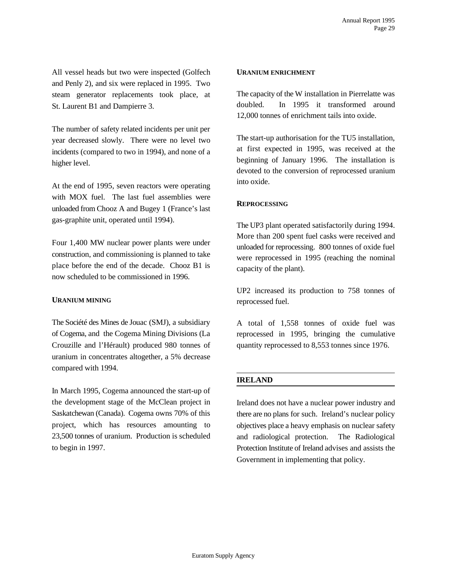All vessel heads but two were inspected (Golfech and Penly 2), and six were replaced in 1995. Two steam generator replacements took place, at St. Laurent B1 and Dampierre 3.

The number of safety related incidents per unit per year decreased slowly. There were no level two incidents (compared to two in 1994), and none of a higher level.

At the end of 1995, seven reactors were operating with MOX fuel. The last fuel assemblies were unloaded from Chooz A and Bugey 1 (France's last gas-graphite unit, operated until 1994).

Four 1,400 MW nuclear power plants were under construction, and commissioning is planned to take place before the end of the decade. Chooz B1 is now scheduled to be commissioned in 1996.

#### **URANIUM MINING**

The Société des Mines de Jouac (SMJ), a subsidiary of Cogema, and the Cogema Mining Divisions (La Crouzille and l'Hérault) produced 980 tonnes of uranium in concentrates altogether, a 5% decrease compared with 1994.

In March 1995, Cogema announced the start-up of the development stage of the McClean project in Saskatchewan (Canada). Cogema owns 70% of this project, which has resources amounting to 23,500 tonnes of uranium. Production is scheduled to begin in 1997.

#### **URANIUM ENRICHMENT**

The capacity of the W installation in Pierrelatte was doubled. In 1995 it transformed around 12,000 tonnes of enrichment tails into oxide.

The start-up authorisation for the TU5 installation, at first expected in 1995, was received at the beginning of January 1996. The installation is devoted to the conversion of reprocessed uranium into oxide.

#### **REPROCESSING**

The UP3 plant operated satisfactorily during 1994. More than 200 spent fuel casks were received and unloaded for reprocessing. 800 tonnes of oxide fuel were reprocessed in 1995 (reaching the nominal capacity of the plant).

UP2 increased its production to 758 tonnes of reprocessed fuel.

A total of 1,558 tonnes of oxide fuel was reprocessed in 1995, bringing the cumulative quantity reprocessed to 8,553 tonnes since 1976.

#### **IRELAND**

Ireland does not have a nuclear power industry and there are no plans for such. Ireland's nuclear policy objectives place a heavy emphasis on nuclear safety and radiological protection. The Radiological Protection Institute of Ireland advises and assists the Government in implementing that policy.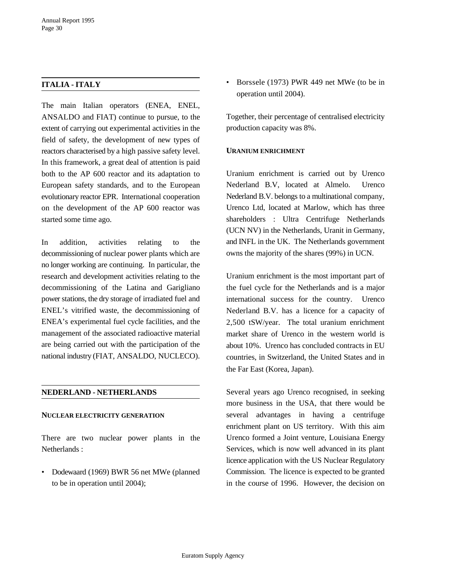#### **ITALIA - ITALY**

The main Italian operators (ENEA, ENEL, ANSALDO and FIAT) continue to pursue, to the extent of carrying out experimental activities in the field of safety, the development of new types of reactors characterised by a high passive safety level. In this framework, a great deal of attention is paid both to the AP 600 reactor and its adaptation to European safety standards, and to the European evolutionary reactor EPR. International cooperation on the development of the AP 600 reactor was started some time ago.

In addition, activities relating to the decommissioning of nuclear power plants which are no longer working are continuing. In particular, the research and development activities relating to the decommissioning of the Latina and Garigliano power stations, the dry storage of irradiated fuel and ENEL's vitrified waste, the decommissioning of ENEA's experimental fuel cycle facilities, and the management of the associated radioactive material are being carried out with the participation of the national industry (FIAT, ANSALDO, NUCLECO).

#### **NEDERLAND - NETHERLANDS**

#### **NUCLEAR ELECTRICITY GENERATION**

There are two nuclear power plants in the Netherlands :

• Dodewaard (1969) BWR 56 net MWe (planned to be in operation until 2004);

• Borssele (1973) PWR 449 net MWe (to be in operation until 2004).

Together, their percentage of centralised electricity production capacity was 8%.

#### **URANIUM ENRICHMENT**

Uranium enrichment is carried out by Urenco Nederland B.V, located at Almelo. Urenco Nederland B.V. belongs to a multinational company, Urenco Ltd, located at Marlow, which has three shareholders : Ultra Centrifuge Netherlands (UCN NV) in the Netherlands, Uranit in Germany, and INFL in the UK. The Netherlands government owns the majority of the shares (99%) in UCN.

Uranium enrichment is the most important part of the fuel cycle for the Netherlands and is a major international success for the country. Urenco Nederland B.V. has a licence for a capacity of 2,500 tSW/year. The total uranium enrichment market share of Urenco in the western world is about 10%. Urenco has concluded contracts in EU countries, in Switzerland, the United States and in the Far East (Korea, Japan).

Several years ago Urenco recognised, in seeking more business in the USA, that there would be several advantages in having a centrifuge enrichment plant on US territory. With this aim Urenco formed a Joint venture, Louisiana Energy Services, which is now well advanced in its plant licence application with the US Nuclear Regulatory Commission. The licence is expected to be granted in the course of 1996. However, the decision on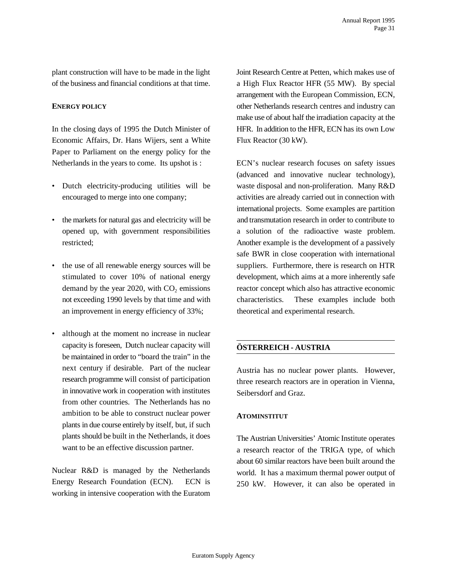plant construction will have to be made in the light Joint Research Centre at Petten, which makes use of of the business and financial conditions at that time. a High Flux Reactor HFR (55 MW). By special

#### **ENERGY POLICY**

In the closing days of 1995 the Dutch Minister of HFR. In addition to the HFR, ECN has its own Low Economic Affairs, Dr. Hans Wijers, sent a White Flux Reactor (30 kW). Paper to Parliament on the energy policy for the Netherlands in the years to come. Its upshot is : ECN's nuclear research focuses on safety issues

- Dutch electricity-producing utilities will be waste disposal and non-proliferation. Many R&D
- the markets for natural gas and electricity will be and transmutation research in order to contribute to
- the use of all renewable energy sources will be suppliers. Furthermore, there is research on HTR an improvement in energy efficiency of 33%; theoretical and experimental research.
- although at the moment no increase in nuclear capacity is foreseen, Dutch nuclear capacity will be maintained in order to "board the train" in the next century if desirable. Part of the nuclear research programme will consist of participation in innovative work in cooperation with institutes from other countries. The Netherlands has no ambition to be able to construct nuclear power plants in due course entirely by itself, but, if such plants should be built in the Netherlands, it does want to be an effective discussion partner.

Nuclear R&D is managed by the Netherlands Energy Research Foundation (ECN). ECN is working in intensive cooperation with the Euratom arrangement with the European Commission, ECN, other Netherlands research centres and industry can make use of about half the irradiation capacity at the

encouraged to merge into one company; activities are already carried out in connection with opened up, with government responsibilities a solution of the radioactive waste problem. restricted; Another example is the development of a passively stimulated to cover 10% of national energy development, which aims at a more inherently safe demand by the year 2020, with CO<sub>2</sub> emissions reactor concept which also has attractive economic not exceeding 1990 levels by that time and with characteristics. These examples include both (advanced and innovative nuclear technology), international projects. Some examples are partition safe BWR in close cooperation with international

#### **ÖSTERREICH - AUSTRIA**

Austria has no nuclear power plants. However, three research reactors are in operation in Vienna, Seibersdorf and Graz.

#### **ATOMINSTITUT**

The Austrian Universities' Atomic Institute operates a research reactor of the TRIGA type, of which about 60 similar reactors have been built around the world. It has a maximum thermal power output of 250 kW. However, it can also be operated in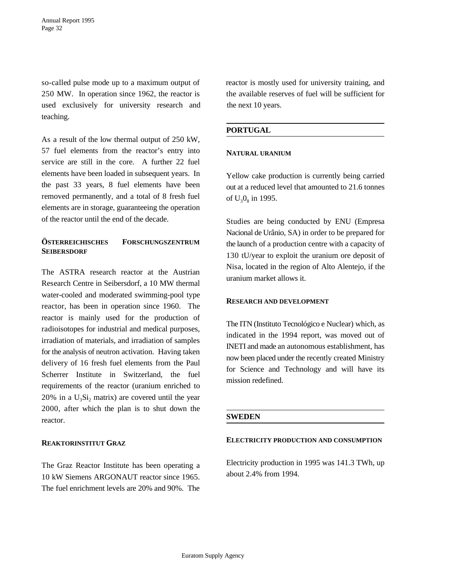250 MW. In operation since 1962, the reactor is the available reserves of fuel will be sufficient for used exclusively for university research and the next 10 years. teaching.

As a result of the low thermal output of 250 kW, 57 fuel elements from the reactor's entry into service are still in the core. A further 22 fuel elements have been loaded in subsequent years. In the past 33 years, 8 fuel elements have been removed permanently, and a total of 8 fresh fuel elements are in storage, guaranteeing the operation of the reactor until the end of the decade.

#### **ÖSTERREICHISCHES FORSCHUNGSZENTRUM SEIBERSDORF**

The ASTRA research reactor at the Austrian Research Centre in Seibersdorf, a 10 MW thermal water-cooled and moderated swimming-pool type reactor, has been in operation since 1960. The reactor is mainly used for the production of radioisotopes for industrial and medical purposes, irradiation of materials, and irradiation of samples for the analysis of neutron activation. Having taken delivery of 16 fresh fuel elements from the Paul Scherrer Institute in Switzerland, the fuel requirements of the reactor (uranium enriched to 20% in a  $U_3Si_2$  matrix) are covered until the year 2000, after which the plan is to shut down the reactor.

#### **REAKTORINSTITUT GRAZ**

The Graz Reactor Institute has been operating a 10 kW Siemens ARGONAUT reactor since 1965. The fuel enrichment levels are 20% and 90%. The

so-called pulse mode up to a maximum output of reactor is mostly used for university training, and

#### **PORTUGAL**

#### **NATURAL URANIUM**

Yellow cake production is currently being carried out at a reduced level that amounted to 21.6 tonnes of  $U_2 O_8$  in 1995.

Studies are being conducted by ENU (Empresa Nacional de Urânio, SA) in order to be prepared for the launch of a production centre with a capacity of 130 tU/year to exploit the uranium ore deposit of Nisa, located in the region of Alto Alentejo, if the uranium market allows it.

#### **RESEARCH AND DEVELOPMENT**

The ITN (Instituto Tecnológico e Nuclear) which, as indicated in the 1994 report, was moved out of INETI and made an autonomous establishment, has now been placed under the recently created Ministry for Science and Technology and will have its mission redefined.

#### **SWEDEN**

## **ELECTRICITY PRODUCTION AND CONSUMPTION**

Electricity production in 1995 was 141.3 TWh, up about 2.4% from 1994.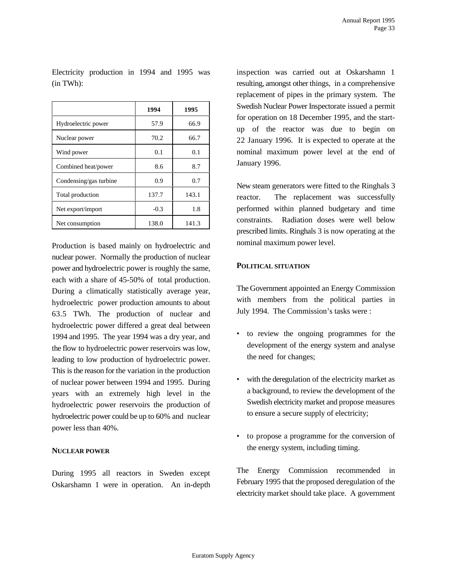Electricity production in 1994 and 1995 was inspection was carried out at Oskarshamn 1 (in TWh): resulting, amongst other things, in a comprehensive

|                        | 1994   | 1995  |
|------------------------|--------|-------|
| Hydroelectric power    | 57.9   | 66.9  |
| Nuclear power          | 70.2   | 66.7  |
| Wind power             | 0.1    | 0.1   |
| Combined heat/power    | 8.6    | 8.7   |
| Condensing/gas turbine | 0.9    | 0.7   |
| Total production       | 137.7  | 143.1 |
| Net export/import      | $-0.3$ | 1.8   |
| Net consumption        | 138.0  | 141.3 |

Production is based mainly on hydroelectric and nuclear power. Normally the production of nuclear power and hydroelectric power is roughly the same, each with a share of 45-50% of total production. During a climatically statistically average year, hydroelectric power production amounts to about 63.5 TWh. The production of nuclear and hydroelectric power differed a great deal between 1994 and 1995. The year 1994 was a dry year, and the flow to hydroelectric power reservoirs was low, leading to low production of hydroelectric power. This is the reason for the variation in the production of nuclear power between 1994 and 1995. During years with an extremely high level in the hydroelectric power reservoirs the production of hydroelectric power could be up to 60% and nuclear power less than 40%.

#### **NUCLEAR POWER**

During 1995 all reactors in Sweden except Oskarshamn 1 were in operation. An in-depth replacement of pipes in the primary system. The Swedish Nuclear Power Inspectorate issued a permit for operation on 18 December 1995, and the startup of the reactor was due to begin on 22 January 1996. It is expected to operate at the nominal maximum power level at the end of January 1996.

New steam generators were fitted to the Ringhals 3 reactor. The replacement was successfully performed within planned budgetary and time constraints. Radiation doses were well below prescribed limits. Ringhals 3 is now operating at the nominal maximum power level.

#### **POLITICAL SITUATION**

The Government appointed an Energy Commission with members from the political parties in July 1994. The Commission's tasks were :

- to review the ongoing programmes for the development of the energy system and analyse the need for changes;
- with the deregulation of the electricity market as a background, to review the development of the Swedish electricity market and propose measures to ensure a secure supply of electricity;
- to propose a programme for the conversion of the energy system, including timing.

The Energy Commission recommended in February 1995 that the proposed deregulation of the electricity market should take place. A government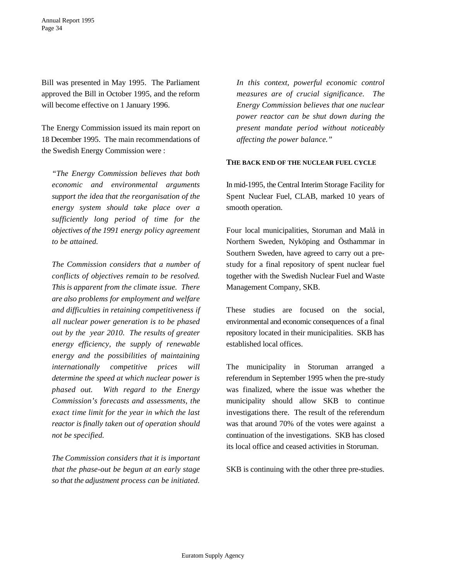Bill was presented in May 1995. The Parliament *In this context, powerful economic control* approved the Bill in October 1995, and the reform *measures are of crucial significance. The* will become effective on 1 January 1996. *Energy Commission believes that one nuclear*

The Energy Commission issued its main report on *present mandate period without noticeably* 18 December 1995. The main recommendations of *affecting the power balance."* the Swedish Energy Commission were :

*"The Energy Commission believes that both energy system should take place over a* smooth operation. *sufficiently long period of time for the*

*This is apparent from the climate issue. There* Management Company, SKB. *are also problems for employment and welfare and difficulties in retaining competitiveness if* These studies are focused on the social, *energy efficiency, the supply of renewable* established local offices. *energy and the possibilities of maintaining*

*The Commission considers that it is important so that the adjustment process can be initiated.*

*power reactor can be shut down during the*

#### **THE BACK END OF THE NUCLEAR FUEL CYCLE**

*economic and environmental arguments* In mid-1995, the Central Interim Storage Facility for *support the idea that the reorganisation of the* Spent Nuclear Fuel, CLAB, marked 10 years of

*objectives of the 1991 energy policy agreement* Four local municipalities, Storuman and Malå in *to be attained.* Northern Sweden, Nyköping and Östhammar in *The Commission considers that a number of* study for a final repository of spent nuclear fuel *conflicts of objectives remain to be resolved.* together with the Swedish Nuclear Fuel and Waste Southern Sweden, have agreed to carry out a pre-

*all nuclear power generation is to be phased* environmental and economic consequences of a final *out by the year 2010. The results of greater* repository located in their municipalities. SKB has

*internationally competitive prices will* The municipality in Storuman arranged a *determine the speed at which nuclear power is* referendum in September 1995 when the pre-study *phased out. With regard to the Energy* was finalized, where the issue was whether the *Commission's forecasts and assessments, the* municipality should allow SKB to continue *exact time limit for the year in which the last* investigations there. The result of the referendum *reactor is finally taken out of operation should* was that around 70% of the votes were against a *not be specified.* continuation of the investigations. SKB has closed its local office and ceased activities in Storuman.

*that the phase-out be begun at an early stage* SKB is continuing with the other three pre-studies.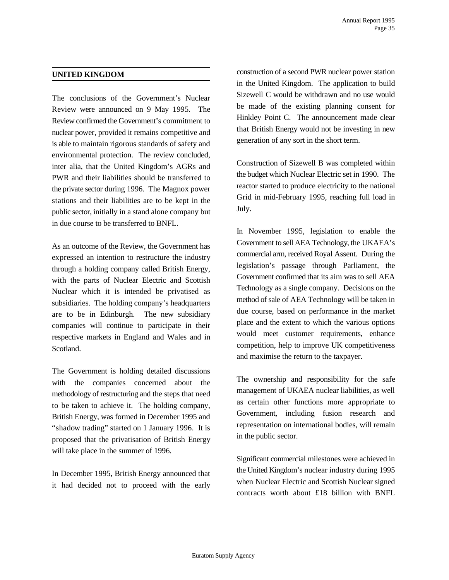#### **UNITED KINGDOM**

The conclusions of the Government's Nuclear Review were announced on 9 May 1995. The Review confirmed the Government's commitment to nuclear power, provided it remains competitive and is able to maintain rigorous standards of safety and environmental protection. The review concluded, inter alia, that the United Kingdom's AGRs and PWR and their liabilities should be transferred to the private sector during 1996. The Magnox power stations and their liabilities are to be kept in the public sector, initially in a stand alone company but in due course to be transferred to BNFL.

As an outcome of the Review, the Government has expressed an intention to restructure the industry through a holding company called British Energy, with the parts of Nuclear Electric and Scottish Nuclear which it is intended be privatised as subsidiaries. The holding company's headquarters are to be in Edinburgh. The new subsidiary companies will continue to participate in their respective markets in England and Wales and in Scotland.

The Government is holding detailed discussions with the companies concerned about the methodology of restructuring and the steps that need to be taken to achieve it. The holding company, British Energy, was formed in December 1995 and "shadow trading" started on 1 January 1996. It is proposed that the privatisation of British Energy will take place in the summer of 1996.

In December 1995, British Energy announced that it had decided not to proceed with the early construction of a second PWR nuclear power station in the United Kingdom. The application to build Sizewell C would be withdrawn and no use would be made of the existing planning consent for Hinkley Point C. The announcement made clear that British Energy would not be investing in new generation of any sort in the short term.

Construction of Sizewell B was completed within the budget which Nuclear Electric set in 1990. The reactor started to produce electricity to the national Grid in mid-February 1995, reaching full load in July.

In November 1995, legislation to enable the Government to sell AEA Technology, the UKAEA's commercial arm, received Royal Assent. During the legislation's passage through Parliament, the Government confirmed that its aim was to sell AEA Technology as a single company. Decisions on the method of sale of AEA Technology will be taken in due course, based on performance in the market place and the extent to which the various options would meet customer requirements, enhance competition, help to improve UK competitiveness and maximise the return to the taxpayer.

The ownership and responsibility for the safe management of UKAEA nuclear liabilities, as well as certain other functions more appropriate to Government, including fusion research and representation on international bodies, will remain in the public sector.

Significant commercial milestones were achieved in the United Kingdom's nuclear industry during 1995 when Nuclear Electric and Scottish Nuclear signed contracts worth about £18 billion with BNFL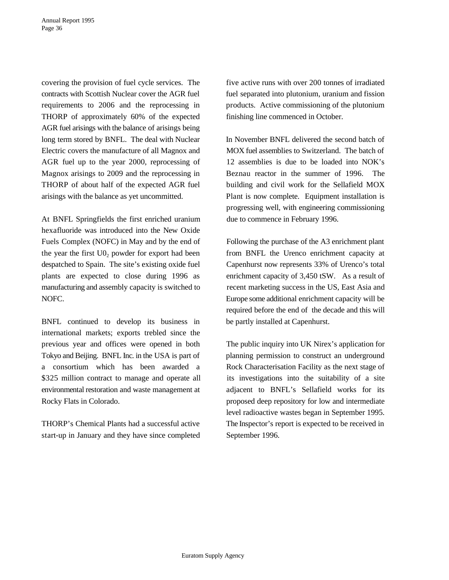covering the provision of fuel cycle services. The five active runs with over 200 tonnes of irradiated contracts with Scottish Nuclear cover the AGR fuel fuel separated into plutonium, uranium and fission requirements to 2006 and the reprocessing in products. Active commissioning of the plutonium THORP of approximately 60% of the expected finishing line commenced in October. AGR fuel arisings with the balance of arisings being long term stored by BNFL. The deal with Nuclear In November BNFL delivered the second batch of Electric covers the manufacture of all Magnox and MOX fuel assemblies to Switzerland. The batch of AGR fuel up to the year 2000, reprocessing of 12 assemblies is due to be loaded into NOK's Magnox arisings to 2009 and the reprocessing in Beznau reactor in the summer of 1996. The THORP of about half of the expected AGR fuel building and civil work for the Sellafield MOX arisings with the balance as yet uncommitted. Plant is now complete. Equipment installation is

At BNFL Springfields the first enriched uranium due to commence in February 1996. hexafluoride was introduced into the New Oxide Fuels Complex (NOFC) in May and by the end of Following the purchase of the A3 enrichment plant the year the first  $U_0$ , powder for export had been from BNFL the Urenco enrichment capacity at despatched to Spain. The site's existing oxide fuel Capenhurst now represents 33% of Urenco's total plants are expected to close during 1996 as enrichment capacity of 3,450 tSW. As a result of manufacturing and assembly capacity is switched to recent marketing success in the US, East Asia and NOFC. Europe some additional enrichment capacity will be

BNFL continued to develop its business in be partly installed at Capenhurst. international markets; exports trebled since the previous year and offices were opened in both The public inquiry into UK Nirex's application for Tokyo and Beijing. BNFL Inc. in the USA is part of planning permission to construct an underground a consortium which has been awarded a Rock Characterisation Facility as the next stage of \$325 million contract to manage and operate all its investigations into the suitability of a site environmental restoration and waste management at adjacent to BNFL's Sellafield works for its Rocky Flats in Colorado. proposed deep repository for low and intermediate

THORP's Chemical Plants had a successful active The Inspector's report is expected to be received in start-up in January and they have since completed September 1996.

progressing well, with engineering commissioning

required before the end of the decade and this will

level radioactive wastes began in September 1995.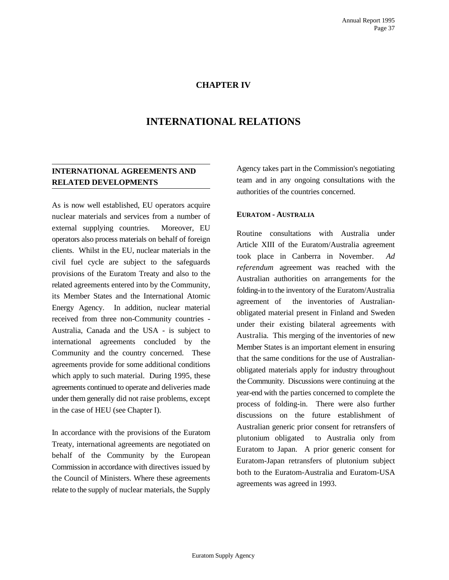#### **CHAPTER IV**

## **INTERNATIONAL RELATIONS**

### **INTERNATIONAL AGREEMENTS AND RELATED DEVELOPMENTS**

As is now well established, EU operators acquire nuclear materials and services from a number of external supplying countries. Moreover, EU operators also process materials on behalf of foreign clients. Whilst in the EU, nuclear materials in the civil fuel cycle are subject to the safeguards provisions of the Euratom Treaty and also to the related agreements entered into by the Community, its Member States and the International Atomic Energy Agency. In addition, nuclear material received from three non-Community countries - Australia, Canada and the USA - is subject to international agreements concluded by the Community and the country concerned. These agreements provide for some additional conditions which apply to such material. During 1995, these agreements continued to operate and deliveries made under them generally did not raise problems, except in the case of HEU (see Chapter I).

In accordance with the provisions of the Euratom Treaty, international agreements are negotiated on behalf of the Community by the European Commission in accordance with directives issued by the Council of Ministers. Where these agreements relate to the supply of nuclear materials, the Supply

Agency takes part in the Commission's negotiating team and in any ongoing consultations with the authorities of the countries concerned.

#### **EURATOM - AUSTRALIA**

Routine consultations with Australia under Article XIII of the Euratom/Australia agreement took place in Canberra in November. *Ad referendum* agreement was reached with the Australian authorities on arrangements for the folding-in to the inventory of the Euratom/Australia agreement of the inventories of Australianobligated material present in Finland and Sweden under their existing bilateral agreements with Australia. This merging of the inventories of new Member States is an important element in ensuring that the same conditions for the use of Australianobligated materials apply for industry throughout the Community. Discussions were continuing at the year-end with the parties concerned to complete the process of folding-in. There were also further discussions on the future establishment of Australian generic prior consent for retransfers of plutonium obligated to Australia only from Euratom to Japan. A prior generic consent for Euratom-Japan retransfers of plutonium subject both to the Euratom-Australia and Euratom-USA agreements was agreed in 1993.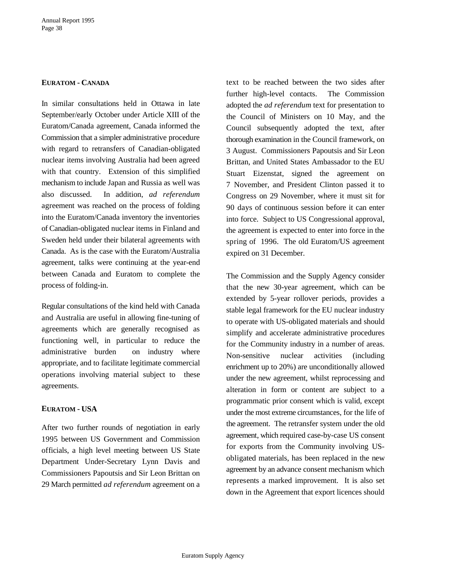#### **EURATOM - CANADA**

In similar consultations held in Ottawa in late September/early October under Article XIII of the Euratom/Canada agreement, Canada informed the Commission that a simpler administrative procedure with regard to retransfers of Canadian-obligated nuclear items involving Australia had been agreed with that country. Extension of this simplified mechanism to include Japan and Russia as well was also discussed. In addition, *ad referendum* agreement was reached on the process of folding into the Euratom/Canada inventory the inventories of Canadian-obligated nuclear items in Finland and Sweden held under their bilateral agreements with Canada. As is the case with the Euratom/Australia agreement, talks were continuing at the year-end between Canada and Euratom to complete the process of folding-in.

Regular consultations of the kind held with Canada and Australia are useful in allowing fine-tuning of agreements which are generally recognised as functioning well, in particular to reduce the administrative burden on industry where appropriate, and to facilitate legitimate commercial operations involving material subject to these agreements.

#### **EURATOM - USA**

After two further rounds of negotiation in early 1995 between US Government and Commission officials, a high level meeting between US State Department Under-Secretary Lynn Davis and Commissioners Papoutsis and Sir Leon Brittan on 29 March permitted *ad referendum* agreement on a text to be reached between the two sides after further high-level contacts. The Commission adopted the *ad referendum* text for presentation to the Council of Ministers on 10 May, and the Council subsequently adopted the text, after thorough examination in the Council framework, on 3 August. Commissioners Papoutsis and Sir Leon Brittan, and United States Ambassador to the EU Stuart Eizenstat, signed the agreement on 7 November, and President Clinton passed it to Congress on 29 November, where it must sit for 90 days of continuous session before it can enter into force. Subject to US Congressional approval, the agreement is expected to enter into force in the spring of 1996. The old Euratom/US agreement expired on 31 December.

The Commission and the Supply Agency consider that the new 30-year agreement, which can be extended by 5-year rollover periods, provides a stable legal framework for the EU nuclear industry to operate with US-obligated materials and should simplify and accelerate administrative procedures for the Community industry in a number of areas. Non-sensitive nuclear activities (including enrichment up to 20%) are unconditionally allowed under the new agreement, whilst reprocessing and alteration in form or content are subject to a programmatic prior consent which is valid, except under the most extreme circumstances, for the life of the agreement. The retransfer system under the old agreement, which required case-by-case US consent for exports from the Community involving USobligated materials, has been replaced in the new agreement by an advance consent mechanism which represents a marked improvement. It is also set down in the Agreement that export licences should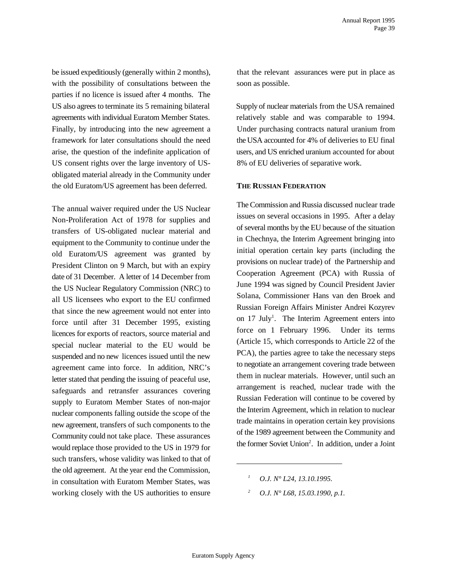be issued expeditiously (generally within 2 months), that the relevant assurances were put in place as with the possibility of consultations between the soon as possible. parties if no licence is issued after 4 months. The US also agrees to terminate its 5 remaining bilateral Supply of nuclear materials from the USA remained agreements with individual Euratom Member States. relatively stable and was comparable to 1994. Finally, by introducing into the new agreement a Under purchasing contracts natural uranium from framework for later consultations should the need the USA accounted for 4% of deliveries to EU final arise, the question of the indefinite application of users, and US enriched uranium accounted for about US consent rights over the large inventory of US- 8% of EU deliveries of separative work. obligated material already in the Community under the old Euratom/US agreement has been deferred.

The annual waiver required under the US Nuclear Non-Proliferation Act of 1978 for supplies and transfers of US-obligated nuclear material and equipment to the Community to continue under the old Euratom/US agreement was granted by President Clinton on 9 March, but with an expiry date of 31 December. A letter of 14 December from the US Nuclear Regulatory Commission (NRC) to all US licensees who export to the EU confirmed that since the new agreement would not enter into force until after 31 December 1995, existing licences for exports of reactors, source material and special nuclear material to the EU would be suspended and no new licences issued until the new agreement came into force. In addition, NRC's letter stated that pending the issuing of peaceful use, safeguards and retransfer assurances covering supply to Euratom Member States of non-major nuclear components falling outside the scope of the new agreement, transfers of such components to the Community could not take place. These assurances would replace those provided to the US in 1979 for such transfers, whose validity was linked to that of the old agreement. At the year end the Commission, in consultation with Euratom Member States, was working closely with the US authorities to ensure

#### **THE RUSSIAN FEDERATION**

The Commission and Russia discussed nuclear trade issues on several occasions in 1995. After a delay of several months by the EU because of the situation in Chechnya, the Interim Agreement bringing into initial operation certain key parts (including the provisions on nuclear trade) of the Partnership and Cooperation Agreement (PCA) with Russia of June 1994 was signed by Council President Javier Solana, Commissioner Hans van den Broek and Russian Foreign Affairs Minister Andrei Kozyrev on  $17 \text{ July}^1$ . The Interim Agreement enters into force on 1 February 1996. Under its terms (Article 15, which corresponds to Article 22 of the PCA), the parties agree to take the necessary steps to negotiate an arrangement covering trade between them in nuclear materials. However, until such an arrangement is reached, nuclear trade with the Russian Federation will continue to be covered by the Interim Agreement, which in relation to nuclear trade maintains in operation certain key provisions of the 1989 agreement between the Community and the former Soviet Union<sup>2</sup>. In addition, under a Joint

*O.J. N° L68, 15.03.1990, p.1. <sup>2</sup>*

*O.J. N° L24, 13.10.1995. <sup>1</sup>*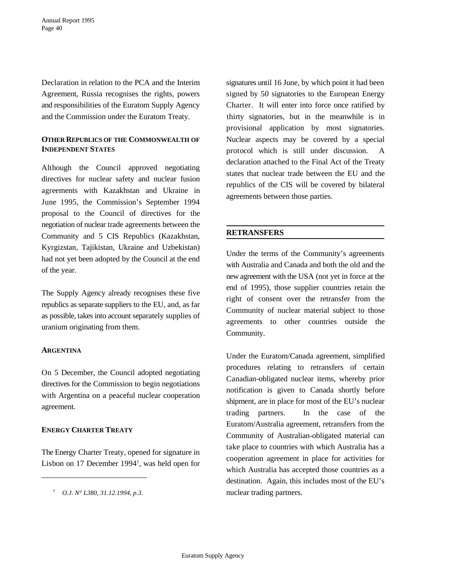Declaration in relation to the PCA and the Interim signatures until 16 June, by which point it had been Agreement, Russia recognises the rights, powers signed by 50 signatories to the European Energy and responsibilities of the Euratom Supply Agency Charter. It will enter into force once ratified by and the Commission under the Euratom Treaty. thirty signatories, but in the meanwhile is in

#### **OTHER REPUBLICS OF THE COMMONWEALTH OF INDEPENDENT STATES**

Although the Council approved negotiating directives for nuclear safety and nuclear fusion agreements with Kazakhstan and Ukraine in June 1995, the Commission's September 1994 proposal to the Council of directives for the negotiation of nuclear trade agreements between the Community and 5 CIS Republics (Kazakhstan, Kyrgizstan, Tajikistan, Ukraine and Uzbekistan) had not yet been adopted by the Council at the end of the year.

The Supply Agency already recognises these five republics as separate suppliers to the EU, and, as far as possible, takes into account separately supplies of uranium originating from them.

#### **ARGENTINA**

On 5 December, the Council adopted negotiating directives for the Commission to begin negotiations with Argentina on a peaceful nuclear cooperation agreement.

#### **ENERGY CHARTER TREATY**

The Energy Charter Treaty, opened for signature in Lisbon on 17 December  $1994<sup>1</sup>$ , was held open for provisional application by most signatories. Nuclear aspects may be covered by a special protocol which is still under discussion. A declaration attached to the Final Act of the Treaty states that nuclear trade between the EU and the republics of the CIS will be covered by bilateral agreements between those parties.

#### **RETRANSFERS**

Under the terms of the Community's agreements with Australia and Canada and both the old and the new agreement with the USA (not yet in force at the end of 1995), those supplier countries retain the right of consent over the retransfer from the Community of nuclear material subject to those agreements to other countries outside the Community.

Under the Euratom/Canada agreement, simplified procedures relating to retransfers of certain Canadian-obligated nuclear items, whereby prior notification is given to Canada shortly before shipment, are in place for most of the EU's nuclear trading partners. In the case of the Euratom/Australia agreement, retransfers from the Community of Australian-obligated material can take place to countries with which Australia has a cooperation agreement in place for activities for which Australia has accepted those countries as a destination. Again, this includes most of the EU's

*I O.J. N° L380, 31.12.1994, p.3.* nuclear trading partners.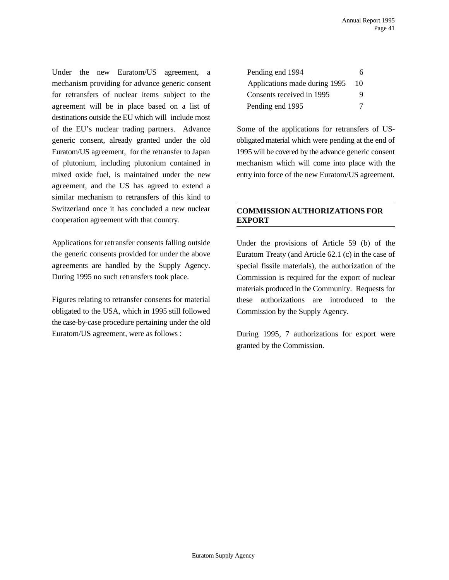Under the new Euratom/US agreement, a mechanism providing for advance generic consent for retransfers of nuclear items subject to the agreement will be in place based on a list of destinations outside the EU which will include most of the EU's nuclear trading partners. Advance Some of the applications for retransfers of USgeneric consent, already granted under the old obligated material which were pending at the end of Euratom/US agreement, for the retransfer to Japan 1995 will be covered by the advance generic consent of plutonium, including plutonium contained in mechanism which will come into place with the mixed oxide fuel, is maintained under the new entry into force of the new Euratom/US agreement. agreement, and the US has agreed to extend a similar mechanism to retransfers of this kind to Switzerland once it has concluded a new nuclear cooperation agreement with that country.

Applications for retransfer consents falling outside the generic consents provided for under the above agreements are handled by the Supply Agency. During 1995 no such retransfers took place.

Figures relating to retransfer consents for material obligated to the USA, which in 1995 still followed the case-by-case procedure pertaining under the old Euratom/US agreement, were as follows :

| Pending end 1994              | h  |
|-------------------------------|----|
| Applications made during 1995 | 10 |
| Consents received in 1995     | Q  |
| Pending end 1995              |    |

#### **COMMISSION AUTHORIZATIONS FOR EXPORT**

Under the provisions of Article 59 (b) of the Euratom Treaty (and Article 62.1 (c) in the case of special fissile materials), the authorization of the Commission is required for the export of nuclear materials produced in the Community. Requests for these authorizations are introduced to the Commission by the Supply Agency.

During 1995, 7 authorizations for export were granted by the Commission.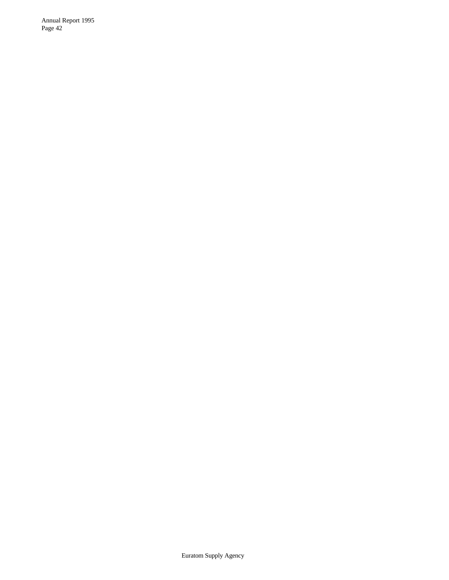Annual Report 1995 Page 42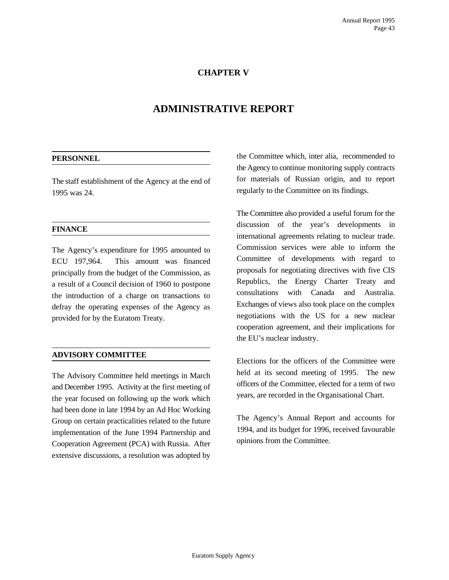#### **CHAPTER V**

## **ADMINISTRATIVE REPORT**

#### **PERSONNEL**

The staff establishment of the Agency at the end of 1995 was 24.

#### **FINANCE**

The Agency's expenditure for 1995 amounted to ECU 197,964. This amount was financed principally from the budget of the Commission, as a result of a Council decision of 1960 to postpone the introduction of a charge on transactions to defray the operating expenses of the Agency as provided for by the Euratom Treaty.

#### **ADVISORY COMMITTEE**

The Advisory Committee held meetings in March and December 1995. Activity at the first meeting of the year focused on following up the work which had been done in late 1994 by an Ad Hoc Working Group on certain practicalities related to the future implementation of the June 1994 Partnership and Cooperation Agreement (PCA) with Russia. After extensive discussions, a resolution was adopted by the Committee which, inter alia, recommended to the Agency to continue monitoring supply contracts for materials of Russian origin, and to report regularly to the Committee on its findings.

The Committee also provided a useful forum for the discussion of the year's developments in international agreements relating to nuclear trade. Commission services were able to inform the Committee of developments with regard to proposals for negotiating directives with five CIS Republics, the Energy Charter Treaty and consultations with Canada and Australia. Exchanges of views also took place on the complex negotiations with the US for a new nuclear cooperation agreement, and their implications for the EU's nuclear industry.

Elections for the officers of the Committee were held at its second meeting of 1995. The new officers of the Committee, elected for a term of two years, are recorded in the Organisational Chart.

The Agency's Annual Report and accounts for 1994, and its budget for 1996, received favourable opinions from the Committee.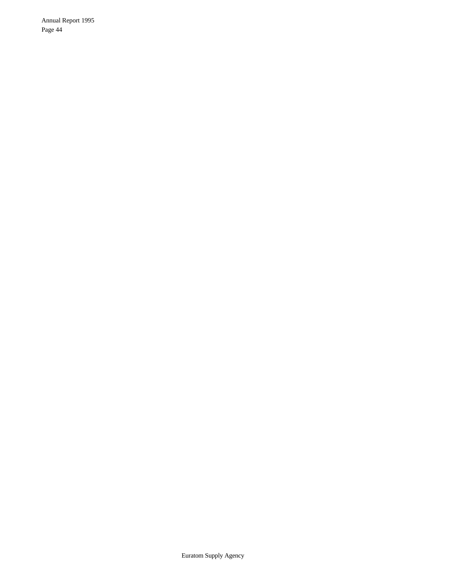Annual Report 1995 Page 44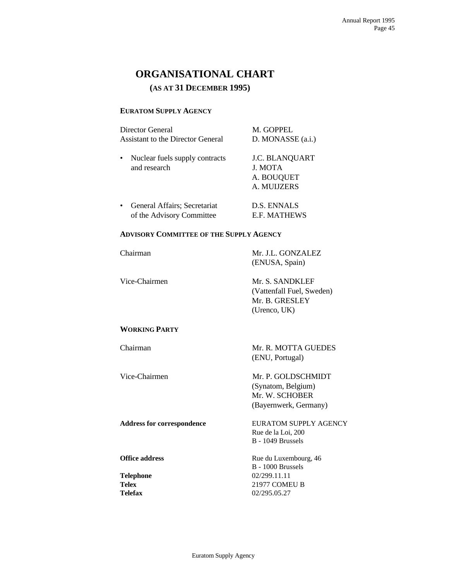## **ORGANISATIONAL CHART (AS AT 31 DECEMBER 1995)**

#### **EURATOM SUPPLY AGENCY**

| Director General                                          | M. GOPPEL                                                     |  |  |  |
|-----------------------------------------------------------|---------------------------------------------------------------|--|--|--|
| Assistant to the Director General                         | D. MONASSE (a.i.)                                             |  |  |  |
| Nuclear fuels supply contracts<br>and research            | <b>J.C. BLANQUART</b><br>J. MOTA<br>A. BOUQUET<br>A. MULIZERS |  |  |  |
| General Affairs; Secretariat<br>of the Advisory Committee | D.S. ENNALS<br>E.F. MATHEWS                                   |  |  |  |
| <b>ADVISORY COMMITTEE OF THE SUPPLY AGENCY</b>            |                                                               |  |  |  |

| Chairman      | Mr. J.L. GONZALEZ<br>(ENUSA, Spain)          |
|---------------|----------------------------------------------|
| Vice-Chairmen | Mr. S. SANDKLEF<br>(Vattenfall Fuel, Sweden) |

#### **WORKING PARTY**

Chairman Mr. R. MOTTA GUEDES

Vice-Chairmen Mr. P. GOLDSCHMIDT

(ENU, Portugal)

Mr. B. GRESLEY (Urenco, UK)

(Synatom, Belgium) Mr. W. SCHOBER (Bayernwerk, Germany)

**Address for correspondence** EURATOM SUPPLY AGENCY Rue de la Loi, 200 B - 1049 Brussels

**Office address** Rue du Luxembourg, 46 B - 1000 Brussels **Telephone** 02/299.11.11<br> **Telex** 21977 COME **Telex** 21977 COMEU B **Telefax** 02/295.05.27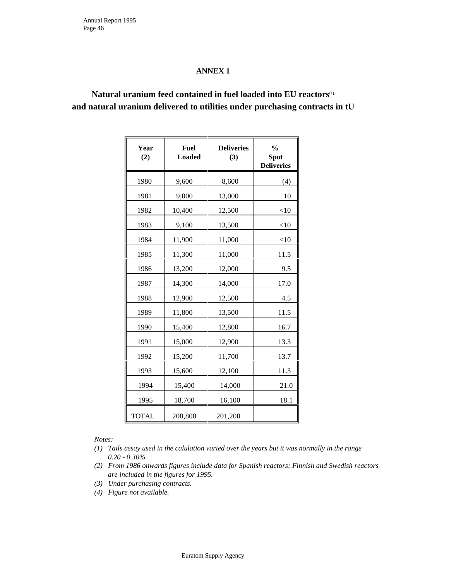#### **ANNEX 1**

## Natural uranium feed contained in fuel loaded into EU reactors<sup>(1)</sup> **and natural uranium delivered to utilities under purchasing contracts in tU**

| Year<br>(2)  | <b>Fuel</b><br><b>Loaded</b> | <b>Deliveries</b><br>(3) | $\frac{0}{0}$<br><b>Spot</b><br><b>Deliveries</b> |
|--------------|------------------------------|--------------------------|---------------------------------------------------|
| 1980         | 9,600                        | 8,600                    | (4)                                               |
| 1981         | 9,000                        | 13,000                   | 10                                                |
| 1982         | 10,400                       | 12,500                   | <10                                               |
| 1983         | 9,100                        | 13,500                   | <10                                               |
| 1984         | 11,900                       | 11,000                   | $<$ 10                                            |
| 1985         | 11,300                       | 11,000                   | 11.5                                              |
| 1986         | 13,200                       | 12,000                   | 9.5                                               |
| 1987         | 14,300                       | 14,000                   | 17.0                                              |
| 1988         | 12,900                       | 12,500                   | 4.5                                               |
| 1989         | 11,800                       | 13,500                   | 11.5                                              |
| 1990         | 15,400                       | 12,800                   | 16.7                                              |
| 1991         | 15,000                       | 12,900                   | 13.3                                              |
| 1992         | 15,200                       | 11,700                   | 13.7                                              |
| 1993         | 15,600                       | 12,100                   | 11.3                                              |
| 1994         | 15,400                       | 14,000                   | 21.0                                              |
| 1995         | 18,700                       | 16,100                   | 18.1                                              |
| <b>TOTAL</b> | 208,800                      | 201,200                  |                                                   |

*Notes:*

- *(3) Under purchasing contracts.*
- *(4) Figure not available.*

*<sup>(1)</sup> Tails assay used in the calulation varied over the years but it was normally in the range 0.20 - 0.30%.*

*<sup>(2)</sup> From 1986 onwards figures include data for Spanish reactors; Finnish and Swedish reactors are included in the figures for 1995.*